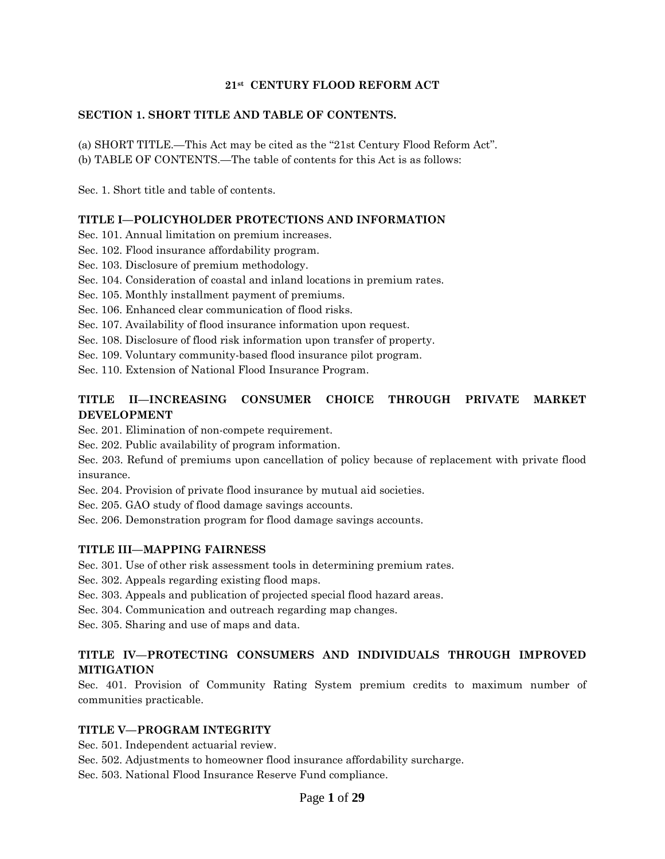#### **21st CENTURY FLOOD REFORM ACT**

#### **SECTION 1. SHORT TITLE AND TABLE OF CONTENTS.**

(a) SHORT TITLE.—This Act may be cited as the ''21st Century Flood Reform Act''. (b) TABLE OF CONTENTS.—The table of contents for this Act is as follows:

Sec. 1. Short title and table of contents.

#### **TITLE I—POLICYHOLDER PROTECTIONS AND INFORMATION**

Sec. 101. Annual limitation on premium increases.

Sec. 102. Flood insurance affordability program.

Sec. 103. Disclosure of premium methodology.

Sec. 104. Consideration of coastal and inland locations in premium rates.

Sec. 105. Monthly installment payment of premiums.

Sec. 106. Enhanced clear communication of flood risks.

Sec. 107. Availability of flood insurance information upon request.

Sec. 108. Disclosure of flood risk information upon transfer of property.

Sec. 109. Voluntary community-based flood insurance pilot program.

Sec. 110. Extension of National Flood Insurance Program.

## **TITLE II—INCREASING CONSUMER CHOICE THROUGH PRIVATE MARKET DEVELOPMENT**

Sec. 201. Elimination of non-compete requirement.

Sec. 202. Public availability of program information.

Sec. 203. Refund of premiums upon cancellation of policy because of replacement with private flood insurance.

Sec. 204. Provision of private flood insurance by mutual aid societies.

Sec. 205. GAO study of flood damage savings accounts.

Sec. 206. Demonstration program for flood damage savings accounts.

#### **TITLE III—MAPPING FAIRNESS**

Sec. 301. Use of other risk assessment tools in determining premium rates.

Sec. 302. Appeals regarding existing flood maps.

Sec. 303. Appeals and publication of projected special flood hazard areas.

Sec. 304. Communication and outreach regarding map changes.

Sec. 305. Sharing and use of maps and data.

### **TITLE IV—PROTECTING CONSUMERS AND INDIVIDUALS THROUGH IMPROVED MITIGATION**

Sec. 401. Provision of Community Rating System premium credits to maximum number of communities practicable.

#### **TITLE V—PROGRAM INTEGRITY**

Sec. 501. Independent actuarial review.

Sec. 502. Adjustments to homeowner flood insurance affordability surcharge.

Sec. 503. National Flood Insurance Reserve Fund compliance.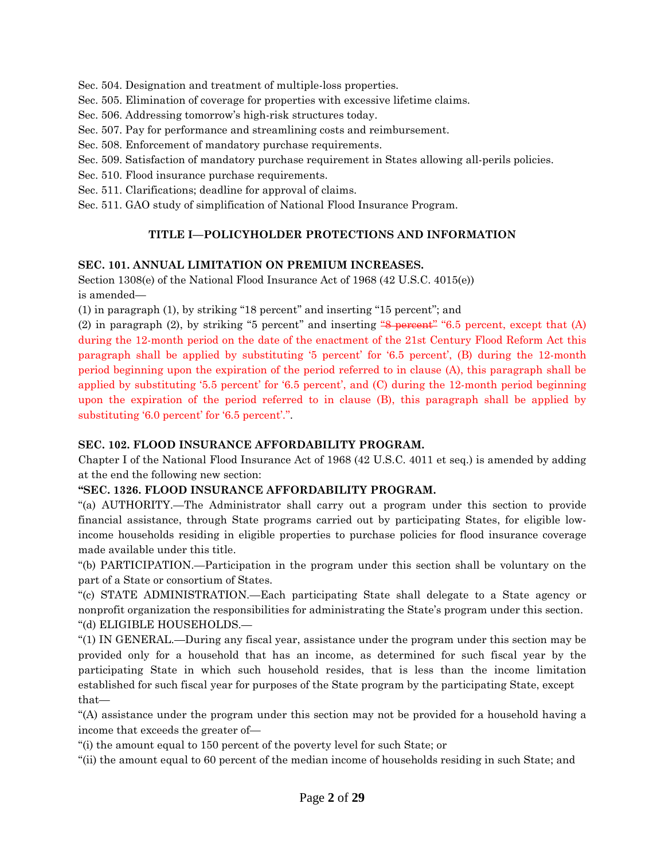Sec. 504. Designation and treatment of multiple-loss properties.

- Sec. 505. Elimination of coverage for properties with excessive lifetime claims.
- Sec. 506. Addressing tomorrow's high-risk structures today.
- Sec. 507. Pay for performance and streamlining costs and reimbursement.
- Sec. 508. Enforcement of mandatory purchase requirements.
- Sec. 509. Satisfaction of mandatory purchase requirement in States allowing all-perils policies.
- Sec. 510. Flood insurance purchase requirements.
- Sec. 511. Clarifications; deadline for approval of claims.
- Sec. 511. GAO study of simplification of National Flood Insurance Program.

### **TITLE I—POLICYHOLDER PROTECTIONS AND INFORMATION**

#### **SEC. 101. ANNUAL LIMITATION ON PREMIUM INCREASES.**

Section 1308(e) of the National Flood Insurance Act of 1968 (42 U.S.C. 4015(e)) is amended—

(1) in paragraph (1), by striking ''18 percent'' and inserting ''15 percent''; and

(2) in paragraph (2), by striking "5 percent" and inserting  $\frac{48}{3}$  percent" "6.5 percent, except that (A) during the 12-month period on the date of the enactment of the 21st Century Flood Reform Act this paragraph shall be applied by substituting '5 percent' for '6.5 percent', (B) during the 12-month period beginning upon the expiration of the period referred to in clause (A), this paragraph shall be applied by substituting '5.5 percent' for '6.5 percent', and (C) during the 12-month period beginning upon the expiration of the period referred to in clause (B), this paragraph shall be applied by substituting '6.0 percent' for '6.5 percent'.''.

#### **SEC. 102. FLOOD INSURANCE AFFORDABILITY PROGRAM.**

Chapter I of the National Flood Insurance Act of 1968 (42 U.S.C. 4011 et seq.) is amended by adding at the end the following new section:

#### **''SEC. 1326. FLOOD INSURANCE AFFORDABILITY PROGRAM.**

''(a) AUTHORITY.—The Administrator shall carry out a program under this section to provide financial assistance, through State programs carried out by participating States, for eligible lowincome households residing in eligible properties to purchase policies for flood insurance coverage made available under this title.

''(b) PARTICIPATION.—Participation in the program under this section shall be voluntary on the part of a State or consortium of States.

''(c) STATE ADMINISTRATION.—Each participating State shall delegate to a State agency or nonprofit organization the responsibilities for administrating the State's program under this section. ''(d) ELIGIBLE HOUSEHOLDS.—

''(1) IN GENERAL.—During any fiscal year, assistance under the program under this section may be provided only for a household that has an income, as determined for such fiscal year by the participating State in which such household resides, that is less than the income limitation established for such fiscal year for purposes of the State program by the participating State, except that—

''(A) assistance under the program under this section may not be provided for a household having a income that exceeds the greater of—

''(i) the amount equal to 150 percent of the poverty level for such State; or

''(ii) the amount equal to 60 percent of the median income of households residing in such State; and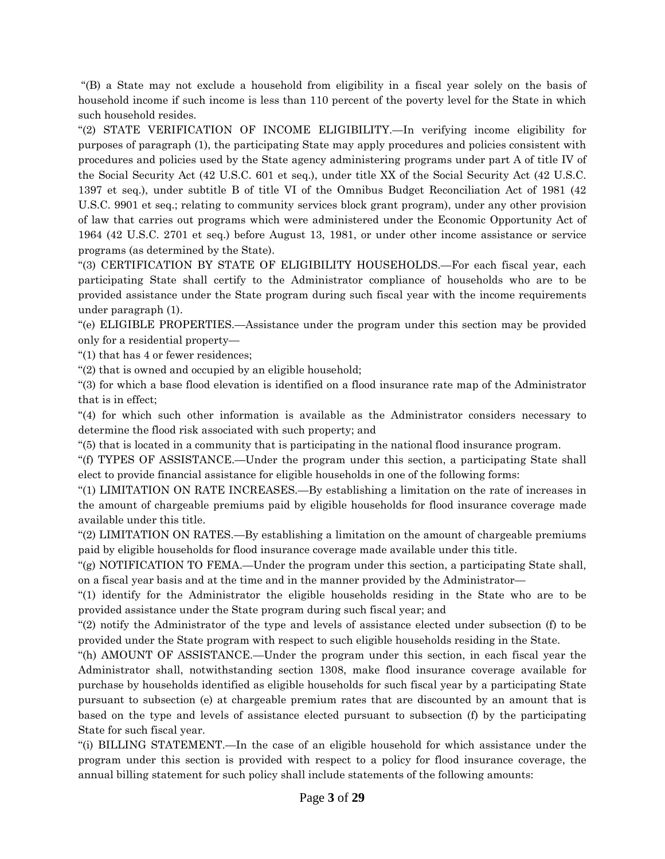''(B) a State may not exclude a household from eligibility in a fiscal year solely on the basis of household income if such income is less than 110 percent of the poverty level for the State in which such household resides.

''(2) STATE VERIFICATION OF INCOME ELIGIBILITY.—In verifying income eligibility for purposes of paragraph (1), the participating State may apply procedures and policies consistent with procedures and policies used by the State agency administering programs under part A of title IV of the Social Security Act (42 U.S.C. 601 et seq.), under title XX of the Social Security Act (42 U.S.C. 1397 et seq.), under subtitle B of title VI of the Omnibus Budget Reconciliation Act of 1981 (42 U.S.C. 9901 et seq.; relating to community services block grant program), under any other provision of law that carries out programs which were administered under the Economic Opportunity Act of 1964 (42 U.S.C. 2701 et seq.) before August 13, 1981, or under other income assistance or service programs (as determined by the State).

''(3) CERTIFICATION BY STATE OF ELIGIBILITY HOUSEHOLDS.—For each fiscal year, each participating State shall certify to the Administrator compliance of households who are to be provided assistance under the State program during such fiscal year with the income requirements under paragraph (1).

''(e) ELIGIBLE PROPERTIES.—Assistance under the program under this section may be provided only for a residential property—

''(1) that has 4 or fewer residences;

"(2) that is owned and occupied by an eligible household;

''(3) for which a base flood elevation is identified on a flood insurance rate map of the Administrator that is in effect;

''(4) for which such other information is available as the Administrator considers necessary to determine the flood risk associated with such property; and

''(5) that is located in a community that is participating in the national flood insurance program.

''(f) TYPES OF ASSISTANCE.—Under the program under this section, a participating State shall elect to provide financial assistance for eligible households in one of the following forms:

''(1) LIMITATION ON RATE INCREASES.—By establishing a limitation on the rate of increases in the amount of chargeable premiums paid by eligible households for flood insurance coverage made available under this title.

''(2) LIMITATION ON RATES.—By establishing a limitation on the amount of chargeable premiums paid by eligible households for flood insurance coverage made available under this title.

''(g) NOTIFICATION TO FEMA.—Under the program under this section, a participating State shall, on a fiscal year basis and at the time and in the manner provided by the Administrator—

''(1) identify for the Administrator the eligible households residing in the State who are to be provided assistance under the State program during such fiscal year; and

''(2) notify the Administrator of the type and levels of assistance elected under subsection (f) to be provided under the State program with respect to such eligible households residing in the State.

''(h) AMOUNT OF ASSISTANCE.—Under the program under this section, in each fiscal year the Administrator shall, notwithstanding section 1308, make flood insurance coverage available for purchase by households identified as eligible households for such fiscal year by a participating State pursuant to subsection (e) at chargeable premium rates that are discounted by an amount that is based on the type and levels of assistance elected pursuant to subsection (f) by the participating State for such fiscal year.

''(i) BILLING STATEMENT.—In the case of an eligible household for which assistance under the program under this section is provided with respect to a policy for flood insurance coverage, the annual billing statement for such policy shall include statements of the following amounts: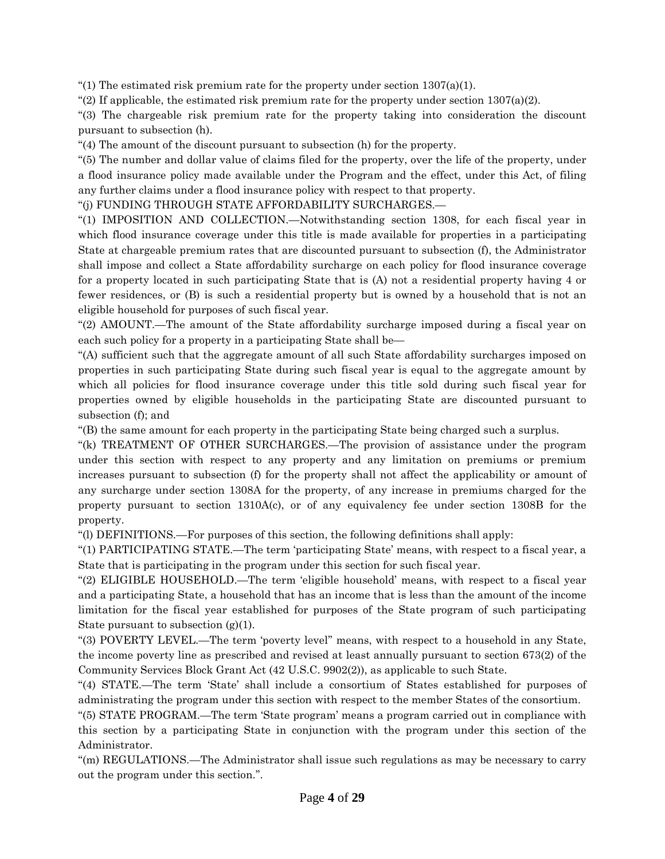"(1) The estimated risk premium rate for the property under section  $1307(a)(1)$ .

"(2) If applicable, the estimated risk premium rate for the property under section  $1307(a)(2)$ .

''(3) The chargeable risk premium rate for the property taking into consideration the discount pursuant to subsection (h).

''(4) The amount of the discount pursuant to subsection (h) for the property.

''(5) The number and dollar value of claims filed for the property, over the life of the property, under a flood insurance policy made available under the Program and the effect, under this Act, of filing any further claims under a flood insurance policy with respect to that property.

''(j) FUNDING THROUGH STATE AFFORDABILITY SURCHARGES.—

''(1) IMPOSITION AND COLLECTION.—Notwithstanding section 1308, for each fiscal year in which flood insurance coverage under this title is made available for properties in a participating State at chargeable premium rates that are discounted pursuant to subsection (f), the Administrator shall impose and collect a State affordability surcharge on each policy for flood insurance coverage for a property located in such participating State that is (A) not a residential property having 4 or fewer residences, or (B) is such a residential property but is owned by a household that is not an eligible household for purposes of such fiscal year.

"(2) AMOUNT.—The amount of the State affordability surcharge imposed during a fiscal year on each such policy for a property in a participating State shall be—

''(A) sufficient such that the aggregate amount of all such State affordability surcharges imposed on properties in such participating State during such fiscal year is equal to the aggregate amount by which all policies for flood insurance coverage under this title sold during such fiscal year for properties owned by eligible households in the participating State are discounted pursuant to subsection (f); and

''(B) the same amount for each property in the participating State being charged such a surplus.

''(k) TREATMENT OF OTHER SURCHARGES.—The provision of assistance under the program under this section with respect to any property and any limitation on premiums or premium increases pursuant to subsection (f) for the property shall not affect the applicability or amount of any surcharge under section 1308A for the property, of any increase in premiums charged for the property pursuant to section 1310A(c), or of any equivalency fee under section 1308B for the property.

''(l) DEFINITIONS.—For purposes of this section, the following definitions shall apply:

''(1) PARTICIPATING STATE.—The term 'participating State' means, with respect to a fiscal year, a State that is participating in the program under this section for such fiscal year.

''(2) ELIGIBLE HOUSEHOLD.—The term 'eligible household' means, with respect to a fiscal year and a participating State, a household that has an income that is less than the amount of the income limitation for the fiscal year established for purposes of the State program of such participating State pursuant to subsection  $(g)(1)$ .

''(3) POVERTY LEVEL.—The term 'poverty level'' means, with respect to a household in any State, the income poverty line as prescribed and revised at least annually pursuant to section 673(2) of the Community Services Block Grant Act (42 U.S.C. 9902(2)), as applicable to such State.

''(4) STATE.—The term 'State' shall include a consortium of States established for purposes of administrating the program under this section with respect to the member States of the consortium.

''(5) STATE PROGRAM.—The term 'State program' means a program carried out in compliance with this section by a participating State in conjunction with the program under this section of the Administrator.

''(m) REGULATIONS.—The Administrator shall issue such regulations as may be necessary to carry out the program under this section.''.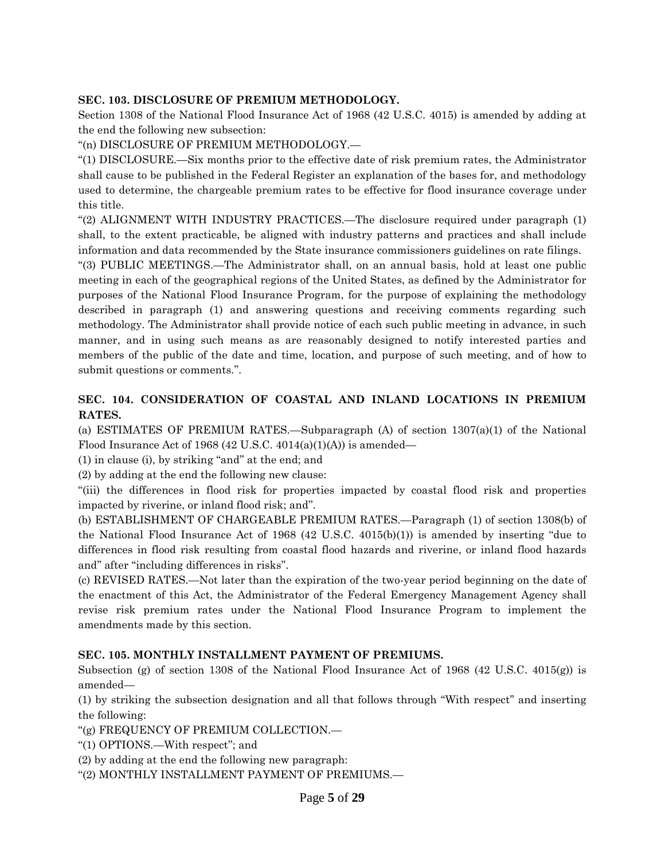### **SEC. 103. DISCLOSURE OF PREMIUM METHODOLOGY.**

Section 1308 of the National Flood Insurance Act of 1968 (42 U.S.C. 4015) is amended by adding at the end the following new subsection:

''(n) DISCLOSURE OF PREMIUM METHODOLOGY.—

''(1) DISCLOSURE.—Six months prior to the effective date of risk premium rates, the Administrator shall cause to be published in the Federal Register an explanation of the bases for, and methodology used to determine, the chargeable premium rates to be effective for flood insurance coverage under this title.

''(2) ALIGNMENT WITH INDUSTRY PRACTICES.—The disclosure required under paragraph (1) shall, to the extent practicable, be aligned with industry patterns and practices and shall include information and data recommended by the State insurance commissioners guidelines on rate filings.

''(3) PUBLIC MEETINGS.—The Administrator shall, on an annual basis, hold at least one public meeting in each of the geographical regions of the United States, as defined by the Administrator for purposes of the National Flood Insurance Program, for the purpose of explaining the methodology described in paragraph (1) and answering questions and receiving comments regarding such methodology. The Administrator shall provide notice of each such public meeting in advance, in such manner, and in using such means as are reasonably designed to notify interested parties and members of the public of the date and time, location, and purpose of such meeting, and of how to submit questions or comments.''.

## **SEC. 104. CONSIDERATION OF COASTAL AND INLAND LOCATIONS IN PREMIUM RATES.**

(a) ESTIMATES OF PREMIUM RATES.—Subparagraph (A) of section 1307(a)(1) of the National Flood Insurance Act of 1968 (42 U.S.C. 4014(a)(1)(A)) is amended—

(1) in clause (i), by striking ''and'' at the end; and

(2) by adding at the end the following new clause:

''(iii) the differences in flood risk for properties impacted by coastal flood risk and properties impacted by riverine, or inland flood risk; and''.

(b) ESTABLISHMENT OF CHARGEABLE PREMIUM RATES.—Paragraph (1) of section 1308(b) of the National Flood Insurance Act of 1968 (42 U.S.C. 4015(b)(1)) is amended by inserting ''due to differences in flood risk resulting from coastal flood hazards and riverine, or inland flood hazards and'' after ''including differences in risks''.

(c) REVISED RATES.—Not later than the expiration of the two-year period beginning on the date of the enactment of this Act, the Administrator of the Federal Emergency Management Agency shall revise risk premium rates under the National Flood Insurance Program to implement the amendments made by this section.

#### **SEC. 105. MONTHLY INSTALLMENT PAYMENT OF PREMIUMS.**

Subsection (g) of section 1308 of the National Flood Insurance Act of 1968 (42 U.S.C. 4015(g)) is amended—

(1) by striking the subsection designation and all that follows through ''With respect'' and inserting the following:

''(g) FREQUENCY OF PREMIUM COLLECTION.—

''(1) OPTIONS.—With respect''; and

(2) by adding at the end the following new paragraph:

''(2) MONTHLY INSTALLMENT PAYMENT OF PREMIUMS.—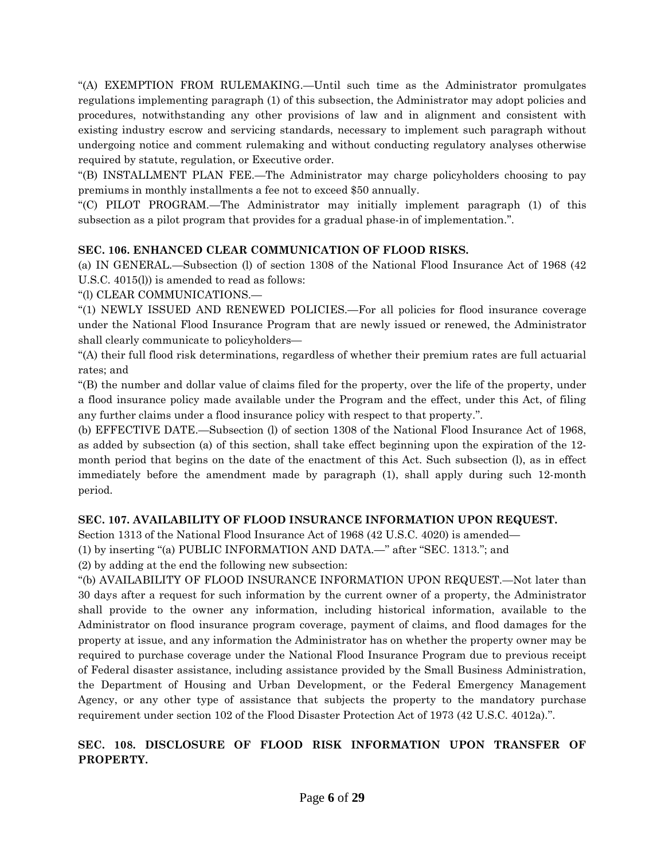''(A) EXEMPTION FROM RULEMAKING.—Until such time as the Administrator promulgates regulations implementing paragraph (1) of this subsection, the Administrator may adopt policies and procedures, notwithstanding any other provisions of law and in alignment and consistent with existing industry escrow and servicing standards, necessary to implement such paragraph without undergoing notice and comment rulemaking and without conducting regulatory analyses otherwise required by statute, regulation, or Executive order.

''(B) INSTALLMENT PLAN FEE.—The Administrator may charge policyholders choosing to pay premiums in monthly installments a fee not to exceed \$50 annually.

''(C) PILOT PROGRAM.—The Administrator may initially implement paragraph (1) of this subsection as a pilot program that provides for a gradual phase-in of implementation.''.

## **SEC. 106. ENHANCED CLEAR COMMUNICATION OF FLOOD RISKS.**

(a) IN GENERAL.—Subsection (l) of section 1308 of the National Flood Insurance Act of 1968 (42 U.S.C. 4015(l)) is amended to read as follows:

''(l) CLEAR COMMUNICATIONS.—

''(1) NEWLY ISSUED AND RENEWED POLICIES.—For all policies for flood insurance coverage under the National Flood Insurance Program that are newly issued or renewed, the Administrator shall clearly communicate to policyholders—

''(A) their full flood risk determinations, regardless of whether their premium rates are full actuarial rates; and

''(B) the number and dollar value of claims filed for the property, over the life of the property, under a flood insurance policy made available under the Program and the effect, under this Act, of filing any further claims under a flood insurance policy with respect to that property.''.

(b) EFFECTIVE DATE.—Subsection (l) of section 1308 of the National Flood Insurance Act of 1968, as added by subsection (a) of this section, shall take effect beginning upon the expiration of the 12 month period that begins on the date of the enactment of this Act. Such subsection (l), as in effect immediately before the amendment made by paragraph (1), shall apply during such 12-month period.

## **SEC. 107. AVAILABILITY OF FLOOD INSURANCE INFORMATION UPON REQUEST.**

Section 1313 of the National Flood Insurance Act of 1968 (42 U.S.C. 4020) is amended— (1) by inserting ''(a) PUBLIC INFORMATION AND DATA.—'' after ''SEC. 1313.''; and

(2) by adding at the end the following new subsection:

''(b) AVAILABILITY OF FLOOD INSURANCE INFORMATION UPON REQUEST.—Not later than 30 days after a request for such information by the current owner of a property, the Administrator shall provide to the owner any information, including historical information, available to the Administrator on flood insurance program coverage, payment of claims, and flood damages for the property at issue, and any information the Administrator has on whether the property owner may be required to purchase coverage under the National Flood Insurance Program due to previous receipt of Federal disaster assistance, including assistance provided by the Small Business Administration, the Department of Housing and Urban Development, or the Federal Emergency Management Agency, or any other type of assistance that subjects the property to the mandatory purchase requirement under section 102 of the Flood Disaster Protection Act of 1973 (42 U.S.C. 4012a).''.

## **SEC. 108. DISCLOSURE OF FLOOD RISK INFORMATION UPON TRANSFER OF PROPERTY.**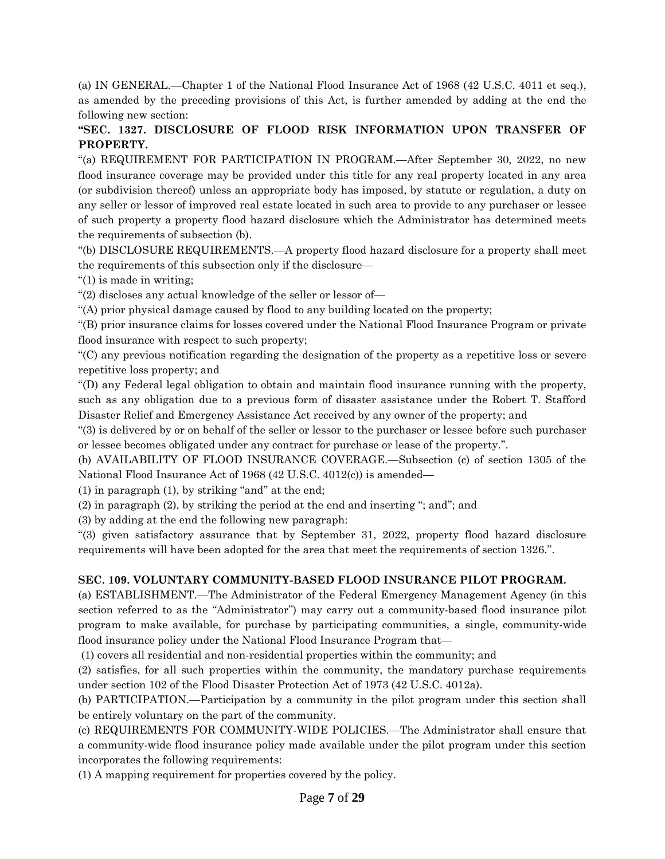(a) IN GENERAL.—Chapter 1 of the National Flood Insurance Act of 1968 (42 U.S.C. 4011 et seq.), as amended by the preceding provisions of this Act, is further amended by adding at the end the following new section:

## **''SEC. 1327. DISCLOSURE OF FLOOD RISK INFORMATION UPON TRANSFER OF PROPERTY.**

''(a) REQUIREMENT FOR PARTICIPATION IN PROGRAM.—After September 30, 2022, no new flood insurance coverage may be provided under this title for any real property located in any area (or subdivision thereof) unless an appropriate body has imposed, by statute or regulation, a duty on any seller or lessor of improved real estate located in such area to provide to any purchaser or lessee of such property a property flood hazard disclosure which the Administrator has determined meets the requirements of subsection (b).

''(b) DISCLOSURE REQUIREMENTS.—A property flood hazard disclosure for a property shall meet the requirements of this subsection only if the disclosure—

''(1) is made in writing;

''(2) discloses any actual knowledge of the seller or lessor of—

''(A) prior physical damage caused by flood to any building located on the property;

''(B) prior insurance claims for losses covered under the National Flood Insurance Program or private flood insurance with respect to such property;

''(C) any previous notification regarding the designation of the property as a repetitive loss or severe repetitive loss property; and

''(D) any Federal legal obligation to obtain and maintain flood insurance running with the property, such as any obligation due to a previous form of disaster assistance under the Robert T. Stafford Disaster Relief and Emergency Assistance Act received by any owner of the property; and

''(3) is delivered by or on behalf of the seller or lessor to the purchaser or lessee before such purchaser or lessee becomes obligated under any contract for purchase or lease of the property.''.

(b) AVAILABILITY OF FLOOD INSURANCE COVERAGE.—Subsection (c) of section 1305 of the National Flood Insurance Act of 1968 (42 U.S.C. 4012(c)) is amended—

 $(1)$  in paragraph  $(1)$ , by striking "and" at the end;

(2) in paragraph (2), by striking the period at the end and inserting ''; and''; and

(3) by adding at the end the following new paragraph:

''(3) given satisfactory assurance that by September 31, 2022, property flood hazard disclosure requirements will have been adopted for the area that meet the requirements of section 1326.''.

# **SEC. 109. VOLUNTARY COMMUNITY-BASED FLOOD INSURANCE PILOT PROGRAM.**

(a) ESTABLISHMENT.—The Administrator of the Federal Emergency Management Agency (in this section referred to as the "Administrator") may carry out a community-based flood insurance pilot program to make available, for purchase by participating communities, a single, community-wide flood insurance policy under the National Flood Insurance Program that—

(1) covers all residential and non-residential properties within the community; and

(2) satisfies, for all such properties within the community, the mandatory purchase requirements under section 102 of the Flood Disaster Protection Act of 1973 (42 U.S.C. 4012a).

(b) PARTICIPATION.—Participation by a community in the pilot program under this section shall be entirely voluntary on the part of the community.

(c) REQUIREMENTS FOR COMMUNITY-WIDE POLICIES.—The Administrator shall ensure that a community-wide flood insurance policy made available under the pilot program under this section incorporates the following requirements:

(1) A mapping requirement for properties covered by the policy.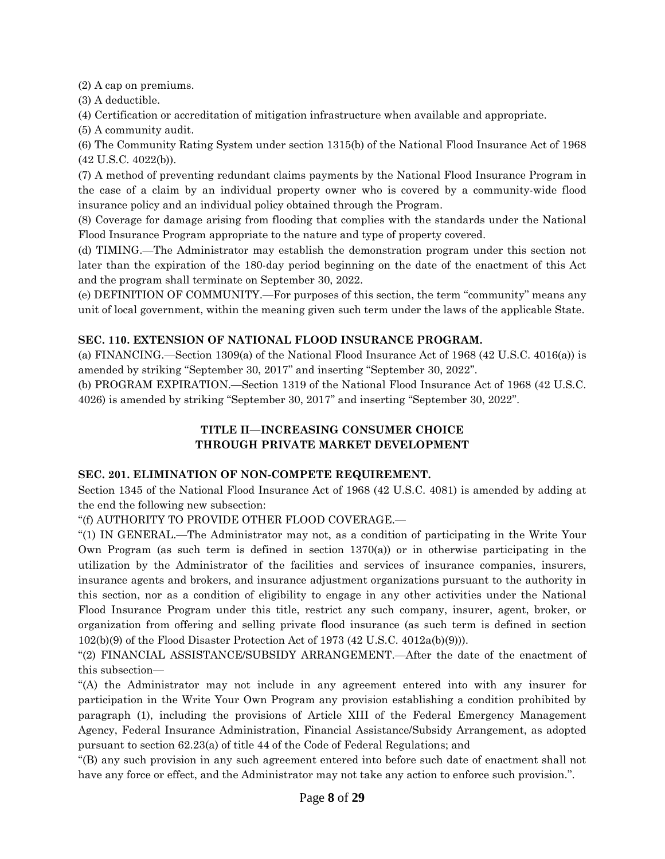(2) A cap on premiums.

(3) A deductible.

(4) Certification or accreditation of mitigation infrastructure when available and appropriate.

(5) A community audit.

(6) The Community Rating System under section 1315(b) of the National Flood Insurance Act of 1968 (42 U.S.C. 4022(b)).

(7) A method of preventing redundant claims payments by the National Flood Insurance Program in the case of a claim by an individual property owner who is covered by a community-wide flood insurance policy and an individual policy obtained through the Program.

(8) Coverage for damage arising from flooding that complies with the standards under the National Flood Insurance Program appropriate to the nature and type of property covered.

(d) TIMING.—The Administrator may establish the demonstration program under this section not later than the expiration of the 180-day period beginning on the date of the enactment of this Act and the program shall terminate on September 30, 2022.

(e) DEFINITION OF COMMUNITY.—For purposes of this section, the term ''community'' means any unit of local government, within the meaning given such term under the laws of the applicable State.

## **SEC. 110. EXTENSION OF NATIONAL FLOOD INSURANCE PROGRAM.**

(a) FINANCING.—Section 1309(a) of the National Flood Insurance Act of 1968 (42 U.S.C. 4016(a)) is amended by striking "September 30, 2017" and inserting "September 30, 2022".

(b) PROGRAM EXPIRATION.—Section 1319 of the National Flood Insurance Act of 1968 (42 U.S.C. 4026) is amended by striking ''September 30, 2017'' and inserting ''September 30, 2022''.

# **TITLE II—INCREASING CONSUMER CHOICE THROUGH PRIVATE MARKET DEVELOPMENT**

## **SEC. 201. ELIMINATION OF NON-COMPETE REQUIREMENT.**

Section 1345 of the National Flood Insurance Act of 1968 (42 U.S.C. 4081) is amended by adding at the end the following new subsection:

''(f) AUTHORITY TO PROVIDE OTHER FLOOD COVERAGE.—

''(1) IN GENERAL.—The Administrator may not, as a condition of participating in the Write Your Own Program (as such term is defined in section  $1370(a)$ ) or in otherwise participating in the utilization by the Administrator of the facilities and services of insurance companies, insurers, insurance agents and brokers, and insurance adjustment organizations pursuant to the authority in this section, nor as a condition of eligibility to engage in any other activities under the National Flood Insurance Program under this title, restrict any such company, insurer, agent, broker, or organization from offering and selling private flood insurance (as such term is defined in section 102(b)(9) of the Flood Disaster Protection Act of 1973 (42 U.S.C. 4012a(b)(9))).

''(2) FINANCIAL ASSISTANCE/SUBSIDY ARRANGEMENT.—After the date of the enactment of this subsection—

''(A) the Administrator may not include in any agreement entered into with any insurer for participation in the Write Your Own Program any provision establishing a condition prohibited by paragraph (1), including the provisions of Article XIII of the Federal Emergency Management Agency, Federal Insurance Administration, Financial Assistance/Subsidy Arrangement, as adopted pursuant to section 62.23(a) of title 44 of the Code of Federal Regulations; and

''(B) any such provision in any such agreement entered into before such date of enactment shall not have any force or effect, and the Administrator may not take any action to enforce such provision.''.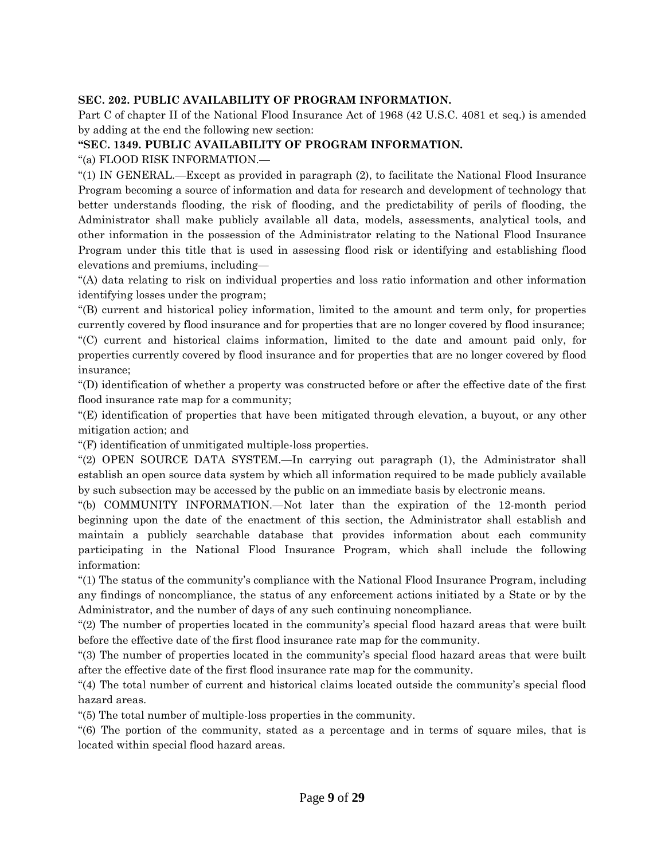### **SEC. 202. PUBLIC AVAILABILITY OF PROGRAM INFORMATION.**

Part C of chapter II of the National Flood Insurance Act of 1968 (42 U.S.C. 4081 et seq.) is amended by adding at the end the following new section:

### **''SEC. 1349. PUBLIC AVAILABILITY OF PROGRAM INFORMATION.**

''(a) FLOOD RISK INFORMATION.—

''(1) IN GENERAL.—Except as provided in paragraph (2), to facilitate the National Flood Insurance Program becoming a source of information and data for research and development of technology that better understands flooding, the risk of flooding, and the predictability of perils of flooding, the Administrator shall make publicly available all data, models, assessments, analytical tools, and other information in the possession of the Administrator relating to the National Flood Insurance Program under this title that is used in assessing flood risk or identifying and establishing flood elevations and premiums, including—

''(A) data relating to risk on individual properties and loss ratio information and other information identifying losses under the program;

''(B) current and historical policy information, limited to the amount and term only, for properties currently covered by flood insurance and for properties that are no longer covered by flood insurance; ''(C) current and historical claims information, limited to the date and amount paid only, for

properties currently covered by flood insurance and for properties that are no longer covered by flood insurance;

''(D) identification of whether a property was constructed before or after the effective date of the first flood insurance rate map for a community;

''(E) identification of properties that have been mitigated through elevation, a buyout, or any other mitigation action; and

''(F) identification of unmitigated multiple-loss properties.

''(2) OPEN SOURCE DATA SYSTEM.—In carrying out paragraph (1), the Administrator shall establish an open source data system by which all information required to be made publicly available by such subsection may be accessed by the public on an immediate basis by electronic means.

''(b) COMMUNITY INFORMATION.—Not later than the expiration of the 12-month period beginning upon the date of the enactment of this section, the Administrator shall establish and maintain a publicly searchable database that provides information about each community participating in the National Flood Insurance Program, which shall include the following information:

''(1) The status of the community's compliance with the National Flood Insurance Program, including any findings of noncompliance, the status of any enforcement actions initiated by a State or by the Administrator, and the number of days of any such continuing noncompliance.

''(2) The number of properties located in the community's special flood hazard areas that were built before the effective date of the first flood insurance rate map for the community.

''(3) The number of properties located in the community's special flood hazard areas that were built after the effective date of the first flood insurance rate map for the community.

''(4) The total number of current and historical claims located outside the community's special flood hazard areas.

''(5) The total number of multiple-loss properties in the community.

''(6) The portion of the community, stated as a percentage and in terms of square miles, that is located within special flood hazard areas.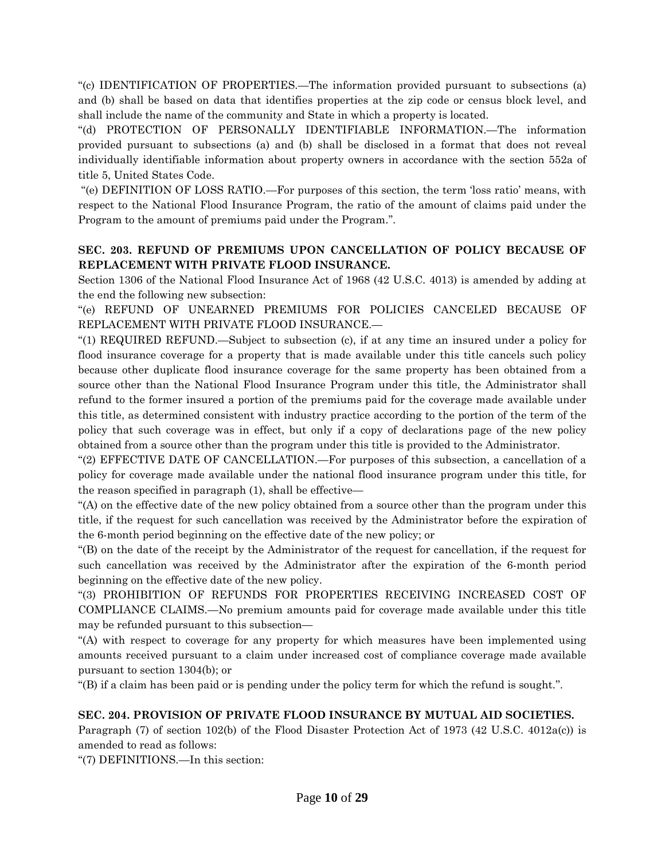''(c) IDENTIFICATION OF PROPERTIES.—The information provided pursuant to subsections (a) and (b) shall be based on data that identifies properties at the zip code or census block level, and shall include the name of the community and State in which a property is located.

''(d) PROTECTION OF PERSONALLY IDENTIFIABLE INFORMATION.—The information provided pursuant to subsections (a) and (b) shall be disclosed in a format that does not reveal individually identifiable information about property owners in accordance with the section 552a of title 5, United States Code.

''(e) DEFINITION OF LOSS RATIO.—For purposes of this section, the term 'loss ratio' means, with respect to the National Flood Insurance Program, the ratio of the amount of claims paid under the Program to the amount of premiums paid under the Program.''.

## **SEC. 203. REFUND OF PREMIUMS UPON CANCELLATION OF POLICY BECAUSE OF REPLACEMENT WITH PRIVATE FLOOD INSURANCE.**

Section 1306 of the National Flood Insurance Act of 1968 (42 U.S.C. 4013) is amended by adding at the end the following new subsection:

''(e) REFUND OF UNEARNED PREMIUMS FOR POLICIES CANCELED BECAUSE OF REPLACEMENT WITH PRIVATE FLOOD INSURANCE.—

''(1) REQUIRED REFUND.—Subject to subsection (c), if at any time an insured under a policy for flood insurance coverage for a property that is made available under this title cancels such policy because other duplicate flood insurance coverage for the same property has been obtained from a source other than the National Flood Insurance Program under this title, the Administrator shall refund to the former insured a portion of the premiums paid for the coverage made available under this title, as determined consistent with industry practice according to the portion of the term of the policy that such coverage was in effect, but only if a copy of declarations page of the new policy obtained from a source other than the program under this title is provided to the Administrator.

''(2) EFFECTIVE DATE OF CANCELLATION.—For purposes of this subsection, a cancellation of a policy for coverage made available under the national flood insurance program under this title, for the reason specified in paragraph (1), shall be effective—

''(A) on the effective date of the new policy obtained from a source other than the program under this title, if the request for such cancellation was received by the Administrator before the expiration of the 6-month period beginning on the effective date of the new policy; or

''(B) on the date of the receipt by the Administrator of the request for cancellation, if the request for such cancellation was received by the Administrator after the expiration of the 6-month period beginning on the effective date of the new policy.

''(3) PROHIBITION OF REFUNDS FOR PROPERTIES RECEIVING INCREASED COST OF COMPLIANCE CLAIMS.—No premium amounts paid for coverage made available under this title may be refunded pursuant to this subsection—

''(A) with respect to coverage for any property for which measures have been implemented using amounts received pursuant to a claim under increased cost of compliance coverage made available pursuant to section 1304(b); or

''(B) if a claim has been paid or is pending under the policy term for which the refund is sought.''.

## **SEC. 204. PROVISION OF PRIVATE FLOOD INSURANCE BY MUTUAL AID SOCIETIES.**

Paragraph (7) of section 102(b) of the Flood Disaster Protection Act of 1973 (42 U.S.C. 4012a(c)) is amended to read as follows:

''(7) DEFINITIONS.—In this section: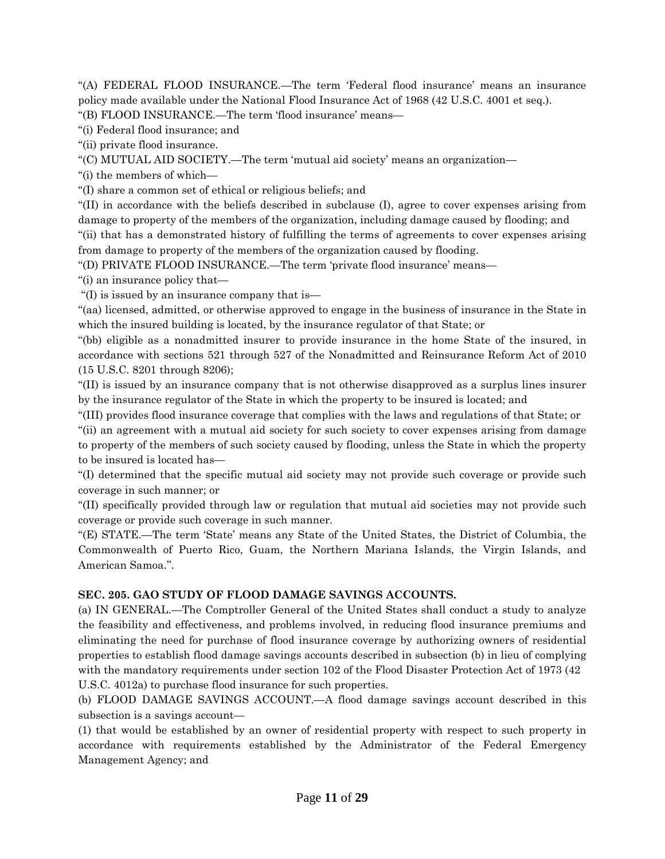''(A) FEDERAL FLOOD INSURANCE.—The term 'Federal flood insurance' means an insurance policy made available under the National Flood Insurance Act of 1968 (42 U.S.C. 4001 et seq.).

''(B) FLOOD INSURANCE.—The term 'flood insurance' means—

''(i) Federal flood insurance; and

''(ii) private flood insurance.

''(C) MUTUAL AID SOCIETY.—The term 'mutual aid society' means an organization—

''(i) the members of which—

''(I) share a common set of ethical or religious beliefs; and

''(II) in accordance with the beliefs described in subclause (I), agree to cover expenses arising from damage to property of the members of the organization, including damage caused by flooding; and

''(ii) that has a demonstrated history of fulfilling the terms of agreements to cover expenses arising from damage to property of the members of the organization caused by flooding.

''(D) PRIVATE FLOOD INSURANCE.—The term 'private flood insurance' means—

''(i) an insurance policy that—

''(I) is issued by an insurance company that is—

''(aa) licensed, admitted, or otherwise approved to engage in the business of insurance in the State in which the insured building is located, by the insurance regulator of that State; or

''(bb) eligible as a nonadmitted insurer to provide insurance in the home State of the insured, in accordance with sections 521 through 527 of the Nonadmitted and Reinsurance Reform Act of 2010 (15 U.S.C. 8201 through 8206);

''(II) is issued by an insurance company that is not otherwise disapproved as a surplus lines insurer by the insurance regulator of the State in which the property to be insured is located; and

''(III) provides flood insurance coverage that complies with the laws and regulations of that State; or

''(ii) an agreement with a mutual aid society for such society to cover expenses arising from damage to property of the members of such society caused by flooding, unless the State in which the property to be insured is located has—

''(I) determined that the specific mutual aid society may not provide such coverage or provide such coverage in such manner; or

''(II) specifically provided through law or regulation that mutual aid societies may not provide such coverage or provide such coverage in such manner.

''(E) STATE.—The term 'State' means any State of the United States, the District of Columbia, the Commonwealth of Puerto Rico, Guam, the Northern Mariana Islands, the Virgin Islands, and American Samoa.''.

#### **SEC. 205. GAO STUDY OF FLOOD DAMAGE SAVINGS ACCOUNTS.**

(a) IN GENERAL.—The Comptroller General of the United States shall conduct a study to analyze the feasibility and effectiveness, and problems involved, in reducing flood insurance premiums and eliminating the need for purchase of flood insurance coverage by authorizing owners of residential properties to establish flood damage savings accounts described in subsection (b) in lieu of complying with the mandatory requirements under section 102 of the Flood Disaster Protection Act of 1973 (42) U.S.C. 4012a) to purchase flood insurance for such properties.

(b) FLOOD DAMAGE SAVINGS ACCOUNT.—A flood damage savings account described in this subsection is a savings account—

(1) that would be established by an owner of residential property with respect to such property in accordance with requirements established by the Administrator of the Federal Emergency Management Agency; and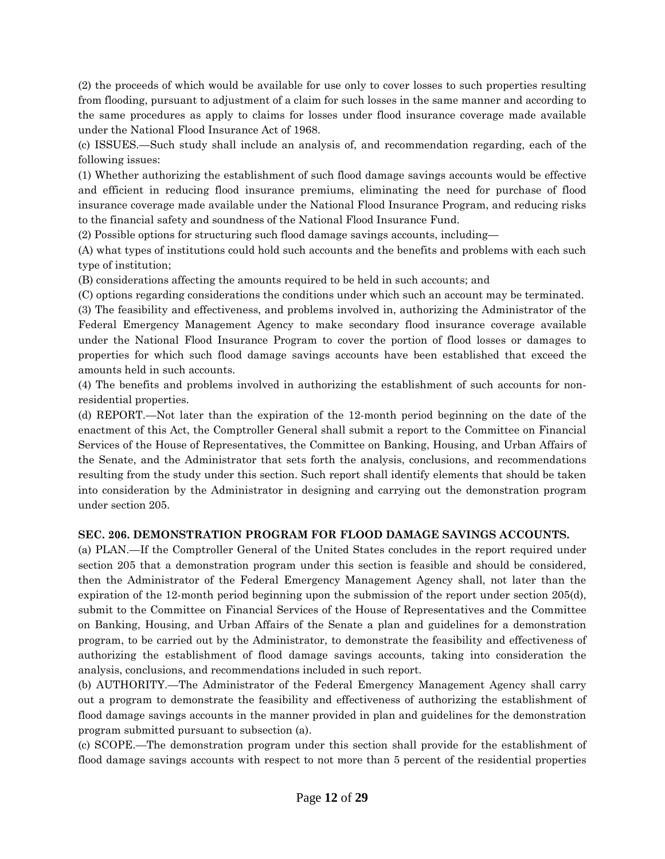(2) the proceeds of which would be available for use only to cover losses to such properties resulting from flooding, pursuant to adjustment of a claim for such losses in the same manner and according to the same procedures as apply to claims for losses under flood insurance coverage made available under the National Flood Insurance Act of 1968.

(c) ISSUES.—Such study shall include an analysis of, and recommendation regarding, each of the following issues:

(1) Whether authorizing the establishment of such flood damage savings accounts would be effective and efficient in reducing flood insurance premiums, eliminating the need for purchase of flood insurance coverage made available under the National Flood Insurance Program, and reducing risks to the financial safety and soundness of the National Flood Insurance Fund.

(2) Possible options for structuring such flood damage savings accounts, including—

(A) what types of institutions could hold such accounts and the benefits and problems with each such type of institution;

(B) considerations affecting the amounts required to be held in such accounts; and

(C) options regarding considerations the conditions under which such an account may be terminated.

(3) The feasibility and effectiveness, and problems involved in, authorizing the Administrator of the Federal Emergency Management Agency to make secondary flood insurance coverage available under the National Flood Insurance Program to cover the portion of flood losses or damages to properties for which such flood damage savings accounts have been established that exceed the amounts held in such accounts.

(4) The benefits and problems involved in authorizing the establishment of such accounts for nonresidential properties.

(d) REPORT.—Not later than the expiration of the 12-month period beginning on the date of the enactment of this Act, the Comptroller General shall submit a report to the Committee on Financial Services of the House of Representatives, the Committee on Banking, Housing, and Urban Affairs of the Senate, and the Administrator that sets forth the analysis, conclusions, and recommendations resulting from the study under this section. Such report shall identify elements that should be taken into consideration by the Administrator in designing and carrying out the demonstration program under section 205.

## **SEC. 206. DEMONSTRATION PROGRAM FOR FLOOD DAMAGE SAVINGS ACCOUNTS.**

(a) PLAN.—If the Comptroller General of the United States concludes in the report required under section 205 that a demonstration program under this section is feasible and should be considered, then the Administrator of the Federal Emergency Management Agency shall, not later than the expiration of the 12-month period beginning upon the submission of the report under section 205(d), submit to the Committee on Financial Services of the House of Representatives and the Committee on Banking, Housing, and Urban Affairs of the Senate a plan and guidelines for a demonstration program, to be carried out by the Administrator, to demonstrate the feasibility and effectiveness of authorizing the establishment of flood damage savings accounts, taking into consideration the analysis, conclusions, and recommendations included in such report.

(b) AUTHORITY.—The Administrator of the Federal Emergency Management Agency shall carry out a program to demonstrate the feasibility and effectiveness of authorizing the establishment of flood damage savings accounts in the manner provided in plan and guidelines for the demonstration program submitted pursuant to subsection (a).

(c) SCOPE.—The demonstration program under this section shall provide for the establishment of flood damage savings accounts with respect to not more than 5 percent of the residential properties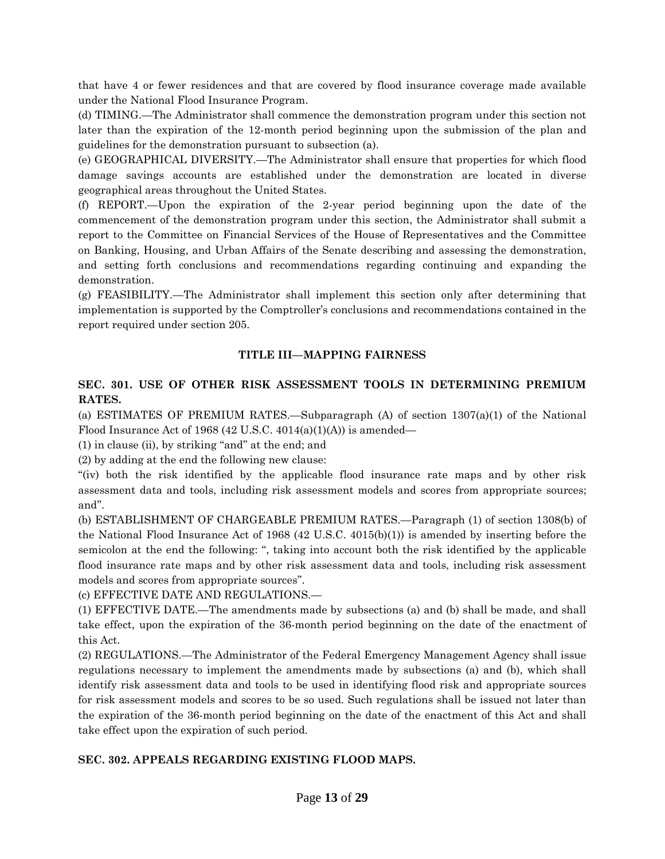that have 4 or fewer residences and that are covered by flood insurance coverage made available under the National Flood Insurance Program.

(d) TIMING.—The Administrator shall commence the demonstration program under this section not later than the expiration of the 12-month period beginning upon the submission of the plan and guidelines for the demonstration pursuant to subsection (a).

(e) GEOGRAPHICAL DIVERSITY.—The Administrator shall ensure that properties for which flood damage savings accounts are established under the demonstration are located in diverse geographical areas throughout the United States.

(f) REPORT.—Upon the expiration of the 2-year period beginning upon the date of the commencement of the demonstration program under this section, the Administrator shall submit a report to the Committee on Financial Services of the House of Representatives and the Committee on Banking, Housing, and Urban Affairs of the Senate describing and assessing the demonstration, and setting forth conclusions and recommendations regarding continuing and expanding the demonstration.

(g) FEASIBILITY.—The Administrator shall implement this section only after determining that implementation is supported by the Comptroller's conclusions and recommendations contained in the report required under section 205.

## **TITLE III—MAPPING FAIRNESS**

## **SEC. 301. USE OF OTHER RISK ASSESSMENT TOOLS IN DETERMINING PREMIUM RATES.**

(a) ESTIMATES OF PREMIUM RATES.—Subparagraph (A) of section 1307(a)(1) of the National Flood Insurance Act of 1968 (42 U.S.C. 4014(a)(1)(A)) is amended—

 $(1)$  in clause  $(ii)$ , by striking "and" at the end; and

(2) by adding at the end the following new clause:

''(iv) both the risk identified by the applicable flood insurance rate maps and by other risk assessment data and tools, including risk assessment models and scores from appropriate sources; and''.

(b) ESTABLISHMENT OF CHARGEABLE PREMIUM RATES.—Paragraph (1) of section 1308(b) of the National Flood Insurance Act of 1968 (42 U.S.C. 4015(b)(1)) is amended by inserting before the semicolon at the end the following: '', taking into account both the risk identified by the applicable flood insurance rate maps and by other risk assessment data and tools, including risk assessment models and scores from appropriate sources''.

(c) EFFECTIVE DATE AND REGULATIONS.—

(1) EFFECTIVE DATE.—The amendments made by subsections (a) and (b) shall be made, and shall take effect, upon the expiration of the 36-month period beginning on the date of the enactment of this Act.

(2) REGULATIONS.—The Administrator of the Federal Emergency Management Agency shall issue regulations necessary to implement the amendments made by subsections (a) and (b), which shall identify risk assessment data and tools to be used in identifying flood risk and appropriate sources for risk assessment models and scores to be so used. Such regulations shall be issued not later than the expiration of the 36-month period beginning on the date of the enactment of this Act and shall take effect upon the expiration of such period.

#### **SEC. 302. APPEALS REGARDING EXISTING FLOOD MAPS.**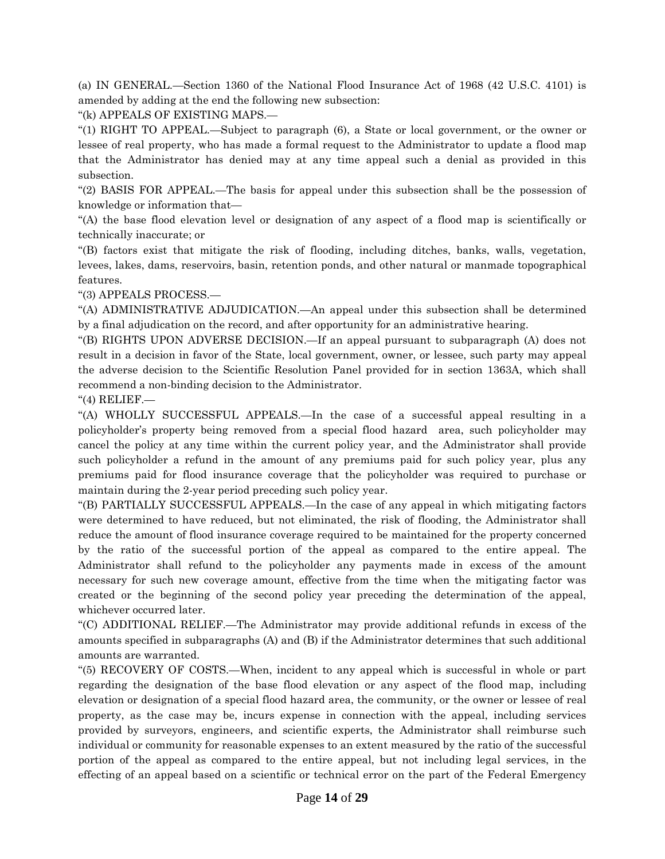(a) IN GENERAL.—Section 1360 of the National Flood Insurance Act of 1968 (42 U.S.C. 4101) is amended by adding at the end the following new subsection:

''(k) APPEALS OF EXISTING MAPS.—

''(1) RIGHT TO APPEAL.—Subject to paragraph (6), a State or local government, or the owner or lessee of real property, who has made a formal request to the Administrator to update a flood map that the Administrator has denied may at any time appeal such a denial as provided in this subsection.

''(2) BASIS FOR APPEAL.—The basis for appeal under this subsection shall be the possession of knowledge or information that—

''(A) the base flood elevation level or designation of any aspect of a flood map is scientifically or technically inaccurate; or

''(B) factors exist that mitigate the risk of flooding, including ditches, banks, walls, vegetation, levees, lakes, dams, reservoirs, basin, retention ponds, and other natural or manmade topographical features.

''(3) APPEALS PROCESS.—

''(A) ADMINISTRATIVE ADJUDICATION.—An appeal under this subsection shall be determined by a final adjudication on the record, and after opportunity for an administrative hearing.

''(B) RIGHTS UPON ADVERSE DECISION.—If an appeal pursuant to subparagraph (A) does not result in a decision in favor of the State, local government, owner, or lessee, such party may appeal the adverse decision to the Scientific Resolution Panel provided for in section 1363A, which shall recommend a non-binding decision to the Administrator.

''(4) RELIEF.—

''(A) WHOLLY SUCCESSFUL APPEALS.—In the case of a successful appeal resulting in a policyholder's property being removed from a special flood hazard area, such policyholder may cancel the policy at any time within the current policy year, and the Administrator shall provide such policyholder a refund in the amount of any premiums paid for such policy year, plus any premiums paid for flood insurance coverage that the policyholder was required to purchase or maintain during the 2-year period preceding such policy year.

''(B) PARTIALLY SUCCESSFUL APPEALS.—In the case of any appeal in which mitigating factors were determined to have reduced, but not eliminated, the risk of flooding, the Administrator shall reduce the amount of flood insurance coverage required to be maintained for the property concerned by the ratio of the successful portion of the appeal as compared to the entire appeal. The Administrator shall refund to the policyholder any payments made in excess of the amount necessary for such new coverage amount, effective from the time when the mitigating factor was created or the beginning of the second policy year preceding the determination of the appeal, whichever occurred later.

''(C) ADDITIONAL RELIEF.—The Administrator may provide additional refunds in excess of the amounts specified in subparagraphs (A) and (B) if the Administrator determines that such additional amounts are warranted.

''(5) RECOVERY OF COSTS.—When, incident to any appeal which is successful in whole or part regarding the designation of the base flood elevation or any aspect of the flood map, including elevation or designation of a special flood hazard area, the community, or the owner or lessee of real property, as the case may be, incurs expense in connection with the appeal, including services provided by surveyors, engineers, and scientific experts, the Administrator shall reimburse such individual or community for reasonable expenses to an extent measured by the ratio of the successful portion of the appeal as compared to the entire appeal, but not including legal services, in the effecting of an appeal based on a scientific or technical error on the part of the Federal Emergency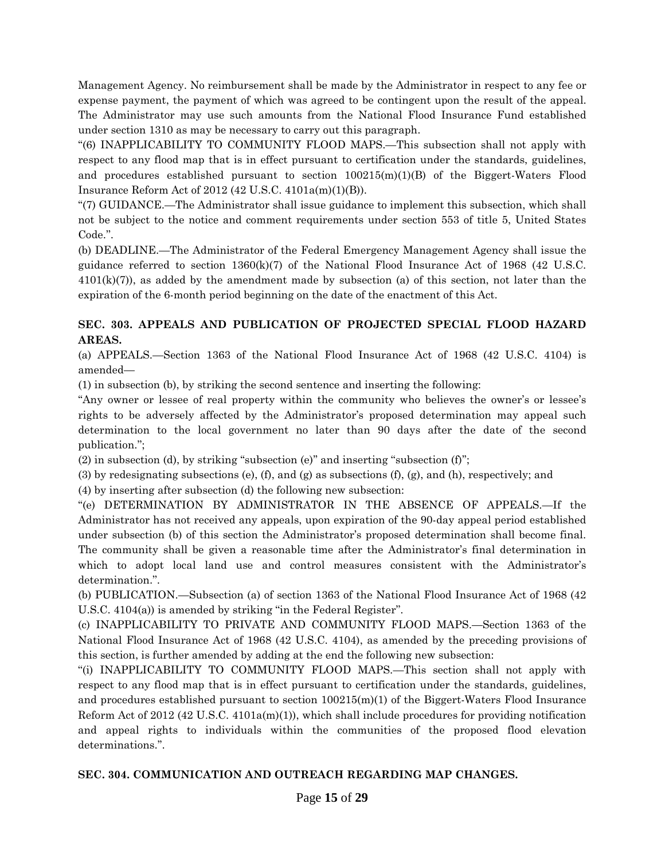Management Agency. No reimbursement shall be made by the Administrator in respect to any fee or expense payment, the payment of which was agreed to be contingent upon the result of the appeal. The Administrator may use such amounts from the National Flood Insurance Fund established under section 1310 as may be necessary to carry out this paragraph.

''(6) INAPPLICABILITY TO COMMUNITY FLOOD MAPS.—This subsection shall not apply with respect to any flood map that is in effect pursuant to certification under the standards, guidelines, and procedures established pursuant to section 100215(m)(1)(B) of the Biggert-Waters Flood Insurance Reform Act of 2012 (42 U.S.C. 4101a(m)(1)(B)).

''(7) GUIDANCE.—The Administrator shall issue guidance to implement this subsection, which shall not be subject to the notice and comment requirements under section 553 of title 5, United States Code.''.

(b) DEADLINE.—The Administrator of the Federal Emergency Management Agency shall issue the guidance referred to section  $1360(k)(7)$  of the National Flood Insurance Act of 1968 (42 U.S.C.  $4101(k)(7)$ , as added by the amendment made by subsection (a) of this section, not later than the expiration of the 6-month period beginning on the date of the enactment of this Act.

# **SEC. 303. APPEALS AND PUBLICATION OF PROJECTED SPECIAL FLOOD HAZARD AREAS.**

(a) APPEALS.—Section 1363 of the National Flood Insurance Act of 1968 (42 U.S.C. 4104) is amended—

(1) in subsection (b), by striking the second sentence and inserting the following:

"Any owner or lessee of real property within the community who believes the owner's or lessee's rights to be adversely affected by the Administrator's proposed determination may appeal such determination to the local government no later than 90 days after the date of the second publication.'';

(2) in subsection (d), by striking ''subsection (e)'' and inserting ''subsection (f)'';

(3) by redesignating subsections (e), (f), and (g) as subsections (f), (g), and (h), respectively; and

(4) by inserting after subsection (d) the following new subsection:

''(e) DETERMINATION BY ADMINISTRATOR IN THE ABSENCE OF APPEALS.—If the Administrator has not received any appeals, upon expiration of the 90-day appeal period established under subsection (b) of this section the Administrator's proposed determination shall become final. The community shall be given a reasonable time after the Administrator's final determination in which to adopt local land use and control measures consistent with the Administrator's determination.''.

(b) PUBLICATION.—Subsection (a) of section 1363 of the National Flood Insurance Act of 1968 (42 U.S.C. 4104(a)) is amended by striking "in the Federal Register".

(c) INAPPLICABILITY TO PRIVATE AND COMMUNITY FLOOD MAPS.—Section 1363 of the National Flood Insurance Act of 1968 (42 U.S.C. 4104), as amended by the preceding provisions of this section, is further amended by adding at the end the following new subsection:

''(i) INAPPLICABILITY TO COMMUNITY FLOOD MAPS.—This section shall not apply with respect to any flood map that is in effect pursuant to certification under the standards, guidelines, and procedures established pursuant to section 100215(m)(1) of the Biggert-Waters Flood Insurance Reform Act of 2012 (42 U.S.C. 4101a(m)(1)), which shall include procedures for providing notification and appeal rights to individuals within the communities of the proposed flood elevation determinations.''.

## **SEC. 304. COMMUNICATION AND OUTREACH REGARDING MAP CHANGES.**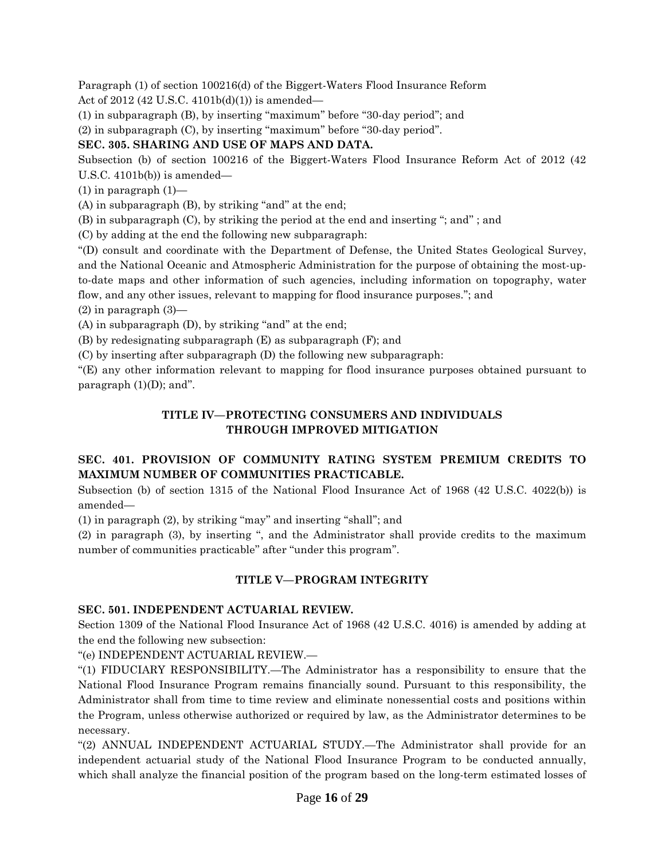Paragraph (1) of section 100216(d) of the Biggert-Waters Flood Insurance Reform Act of 2012 (42 U.S.C. 4101b(d)(1)) is amended—

(1) in subparagraph (B), by inserting ''maximum'' before ''30-day period''; and

(2) in subparagraph (C), by inserting ''maximum'' before ''30-day period''.

# **SEC. 305. SHARING AND USE OF MAPS AND DATA.**

Subsection (b) of section 100216 of the Biggert-Waters Flood Insurance Reform Act of 2012 (42 U.S.C.  $4101b(b)$  is amended—

 $(1)$  in paragraph  $(1)$ —

 $(A)$  in subparagraph  $(B)$ , by striking "and" at the end;

(B) in subparagraph (C), by striking the period at the end and inserting ''; and'' ; and

(C) by adding at the end the following new subparagraph:

''(D) consult and coordinate with the Department of Defense, the United States Geological Survey, and the National Oceanic and Atmospheric Administration for the purpose of obtaining the most-upto-date maps and other information of such agencies, including information on topography, water flow, and any other issues, relevant to mapping for flood insurance purposes.''; and

(2) in paragraph (3)—

 $(A)$  in subparagraph  $(D)$ , by striking "and" at the end;

(B) by redesignating subparagraph (E) as subparagraph (F); and

(C) by inserting after subparagraph (D) the following new subparagraph:

''(E) any other information relevant to mapping for flood insurance purposes obtained pursuant to paragraph  $(1)(D)$ ; and".

## **TITLE IV—PROTECTING CONSUMERS AND INDIVIDUALS THROUGH IMPROVED MITIGATION**

# **SEC. 401. PROVISION OF COMMUNITY RATING SYSTEM PREMIUM CREDITS TO MAXIMUM NUMBER OF COMMUNITIES PRACTICABLE.**

Subsection (b) of section 1315 of the National Flood Insurance Act of 1968 (42 U.S.C. 4022(b)) is amended—

(1) in paragraph (2), by striking ''may'' and inserting ''shall''; and

(2) in paragraph (3), by inserting '', and the Administrator shall provide credits to the maximum number of communities practicable'' after ''under this program''.

# **TITLE V—PROGRAM INTEGRITY**

## **SEC. 501. INDEPENDENT ACTUARIAL REVIEW.**

Section 1309 of the National Flood Insurance Act of 1968 (42 U.S.C. 4016) is amended by adding at the end the following new subsection:

''(e) INDEPENDENT ACTUARIAL REVIEW.—

''(1) FIDUCIARY RESPONSIBILITY.—The Administrator has a responsibility to ensure that the National Flood Insurance Program remains financially sound. Pursuant to this responsibility, the Administrator shall from time to time review and eliminate nonessential costs and positions within the Program, unless otherwise authorized or required by law, as the Administrator determines to be necessary.

''(2) ANNUAL INDEPENDENT ACTUARIAL STUDY.—The Administrator shall provide for an independent actuarial study of the National Flood Insurance Program to be conducted annually, which shall analyze the financial position of the program based on the long-term estimated losses of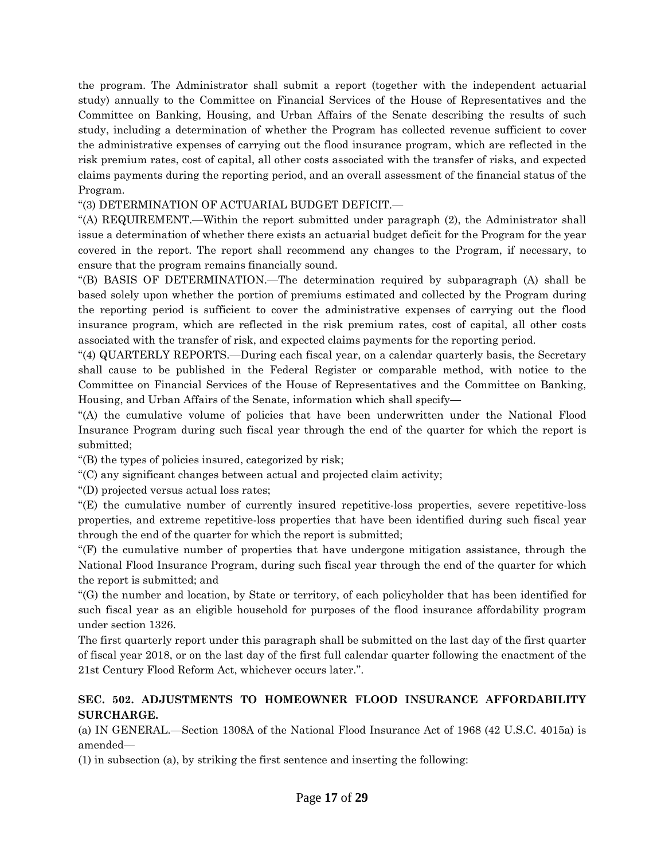the program. The Administrator shall submit a report (together with the independent actuarial study) annually to the Committee on Financial Services of the House of Representatives and the Committee on Banking, Housing, and Urban Affairs of the Senate describing the results of such study, including a determination of whether the Program has collected revenue sufficient to cover the administrative expenses of carrying out the flood insurance program, which are reflected in the risk premium rates, cost of capital, all other costs associated with the transfer of risks, and expected claims payments during the reporting period, and an overall assessment of the financial status of the Program.

### ''(3) DETERMINATION OF ACTUARIAL BUDGET DEFICIT.—

''(A) REQUIREMENT.—Within the report submitted under paragraph (2), the Administrator shall issue a determination of whether there exists an actuarial budget deficit for the Program for the year covered in the report. The report shall recommend any changes to the Program, if necessary, to ensure that the program remains financially sound.

''(B) BASIS OF DETERMINATION.—The determination required by subparagraph (A) shall be based solely upon whether the portion of premiums estimated and collected by the Program during the reporting period is sufficient to cover the administrative expenses of carrying out the flood insurance program, which are reflected in the risk premium rates, cost of capital, all other costs associated with the transfer of risk, and expected claims payments for the reporting period.

''(4) QUARTERLY REPORTS.—During each fiscal year, on a calendar quarterly basis, the Secretary shall cause to be published in the Federal Register or comparable method, with notice to the Committee on Financial Services of the House of Representatives and the Committee on Banking, Housing, and Urban Affairs of the Senate, information which shall specify—

''(A) the cumulative volume of policies that have been underwritten under the National Flood Insurance Program during such fiscal year through the end of the quarter for which the report is submitted;

''(B) the types of policies insured, categorized by risk;

''(C) any significant changes between actual and projected claim activity;

''(D) projected versus actual loss rates;

''(E) the cumulative number of currently insured repetitive-loss properties, severe repetitive-loss properties, and extreme repetitive-loss properties that have been identified during such fiscal year through the end of the quarter for which the report is submitted;

''(F) the cumulative number of properties that have undergone mitigation assistance, through the National Flood Insurance Program, during such fiscal year through the end of the quarter for which the report is submitted; and

''(G) the number and location, by State or territory, of each policyholder that has been identified for such fiscal year as an eligible household for purposes of the flood insurance affordability program under section 1326.

The first quarterly report under this paragraph shall be submitted on the last day of the first quarter of fiscal year 2018, or on the last day of the first full calendar quarter following the enactment of the 21st Century Flood Reform Act, whichever occurs later.''.

## **SEC. 502. ADJUSTMENTS TO HOMEOWNER FLOOD INSURANCE AFFORDABILITY SURCHARGE.**

(a) IN GENERAL.—Section 1308A of the National Flood Insurance Act of 1968 (42 U.S.C. 4015a) is amended—

(1) in subsection (a), by striking the first sentence and inserting the following: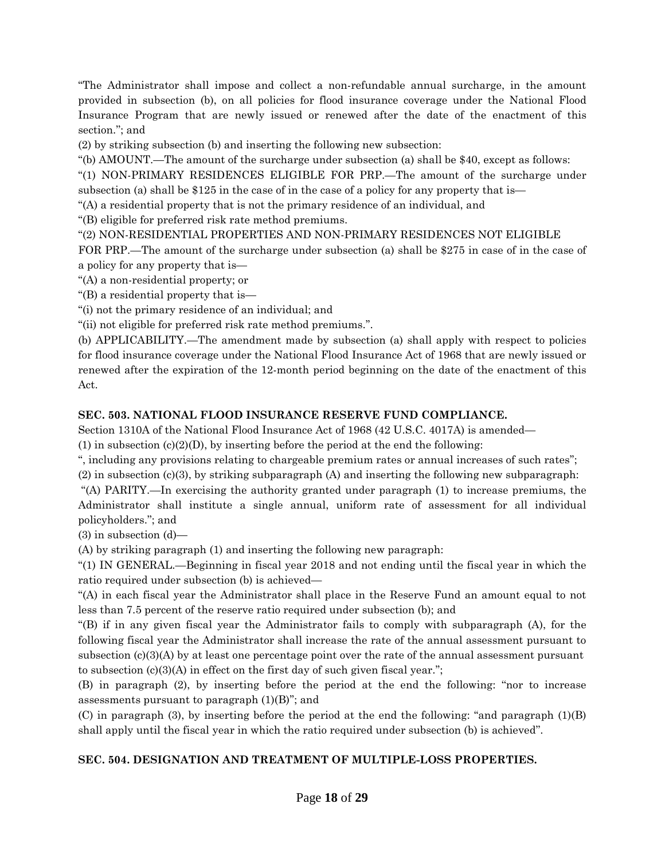''The Administrator shall impose and collect a non-refundable annual surcharge, in the amount provided in subsection (b), on all policies for flood insurance coverage under the National Flood Insurance Program that are newly issued or renewed after the date of the enactment of this section.''; and

(2) by striking subsection (b) and inserting the following new subsection:

''(b) AMOUNT.—The amount of the surcharge under subsection (a) shall be \$40, except as follows:

''(1) NON-PRIMARY RESIDENCES ELIGIBLE FOR PRP.—The amount of the surcharge under subsection (a) shall be \$125 in the case of in the case of a policy for any property that is—

''(A) a residential property that is not the primary residence of an individual, and

''(B) eligible for preferred risk rate method premiums.

''(2) NON-RESIDENTIAL PROPERTIES AND NON-PRIMARY RESIDENCES NOT ELIGIBLE

FOR PRP.—The amount of the surcharge under subsection (a) shall be \$275 in case of in the case of a policy for any property that is—

''(A) a non-residential property; or

''(B) a residential property that is—

''(i) not the primary residence of an individual; and

''(ii) not eligible for preferred risk rate method premiums.''.

(b) APPLICABILITY.—The amendment made by subsection (a) shall apply with respect to policies for flood insurance coverage under the National Flood Insurance Act of 1968 that are newly issued or renewed after the expiration of the 12-month period beginning on the date of the enactment of this Act.

### **SEC. 503. NATIONAL FLOOD INSURANCE RESERVE FUND COMPLIANCE.**

Section 1310A of the National Flood Insurance Act of 1968 (42 U.S.C. 4017A) is amended—

(1) in subsection (c)(2)(D), by inserting before the period at the end the following:

'', including any provisions relating to chargeable premium rates or annual increases of such rates''; (2) in subsection (c)(3), by striking subparagraph (A) and inserting the following new subparagraph:

''(A) PARITY.—In exercising the authority granted under paragraph (1) to increase premiums, the Administrator shall institute a single annual, uniform rate of assessment for all individual policyholders.''; and

(3) in subsection (d)—

(A) by striking paragraph (1) and inserting the following new paragraph:

''(1) IN GENERAL.—Beginning in fiscal year 2018 and not ending until the fiscal year in which the ratio required under subsection (b) is achieved—

''(A) in each fiscal year the Administrator shall place in the Reserve Fund an amount equal to not less than 7.5 percent of the reserve ratio required under subsection (b); and

''(B) if in any given fiscal year the Administrator fails to comply with subparagraph (A), for the following fiscal year the Administrator shall increase the rate of the annual assessment pursuant to subsection  $(c)(3)(A)$  by at least one percentage point over the rate of the annual assessment pursuant to subsection  $(c)(3)(A)$  in effect on the first day of such given fiscal year.";

(B) in paragraph (2), by inserting before the period at the end the following: ''nor to increase assessments pursuant to paragraph  $(1)(B)$ "; and

(C) in paragraph (3), by inserting before the period at the end the following: "and paragraph  $(1)(B)$ shall apply until the fiscal year in which the ratio required under subsection (b) is achieved''.

## **SEC. 504. DESIGNATION AND TREATMENT OF MULTIPLE-LOSS PROPERTIES.**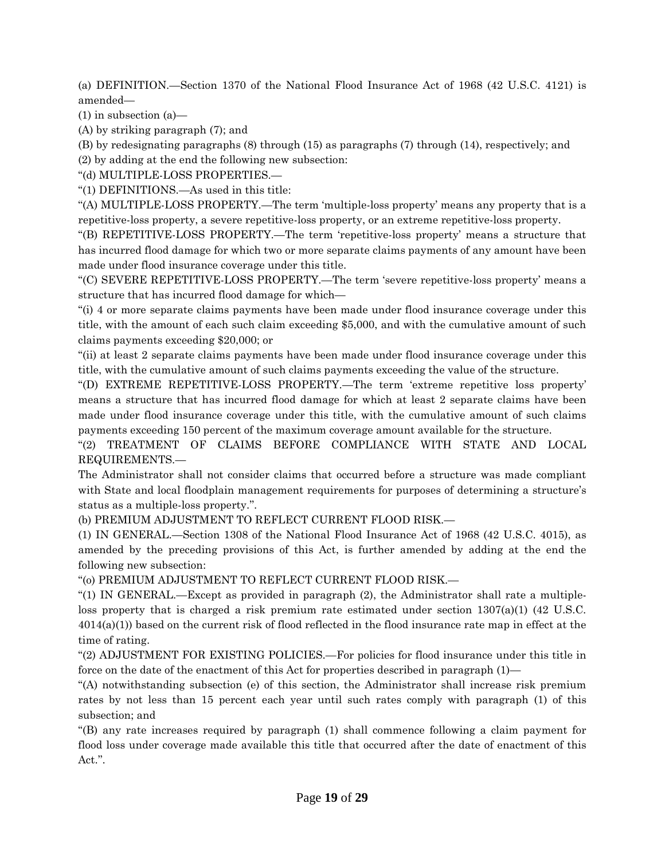(a) DEFINITION.—Section 1370 of the National Flood Insurance Act of 1968 (42 U.S.C. 4121) is amended—

(1) in subsection (a)—

(A) by striking paragraph (7); and

(B) by redesignating paragraphs (8) through (15) as paragraphs (7) through (14), respectively; and

(2) by adding at the end the following new subsection:

''(d) MULTIPLE-LOSS PROPERTIES.—

''(1) DEFINITIONS.—As used in this title:

''(A) MULTIPLE-LOSS PROPERTY.—The term 'multiple-loss property' means any property that is a repetitive-loss property, a severe repetitive-loss property, or an extreme repetitive-loss property.

''(B) REPETITIVE-LOSS PROPERTY.—The term 'repetitive-loss property' means a structure that has incurred flood damage for which two or more separate claims payments of any amount have been made under flood insurance coverage under this title.

''(C) SEVERE REPETITIVE-LOSS PROPERTY.—The term 'severe repetitive-loss property' means a structure that has incurred flood damage for which—

''(i) 4 or more separate claims payments have been made under flood insurance coverage under this title, with the amount of each such claim exceeding \$5,000, and with the cumulative amount of such claims payments exceeding \$20,000; or

''(ii) at least 2 separate claims payments have been made under flood insurance coverage under this title, with the cumulative amount of such claims payments exceeding the value of the structure.

''(D) EXTREME REPETITIVE-LOSS PROPERTY.—The term 'extreme repetitive loss property' means a structure that has incurred flood damage for which at least 2 separate claims have been made under flood insurance coverage under this title, with the cumulative amount of such claims payments exceeding 150 percent of the maximum coverage amount available for the structure.

''(2) TREATMENT OF CLAIMS BEFORE COMPLIANCE WITH STATE AND LOCAL REQUIREMENTS.—

The Administrator shall not consider claims that occurred before a structure was made compliant with State and local floodplain management requirements for purposes of determining a structure's status as a multiple-loss property.''.

(b) PREMIUM ADJUSTMENT TO REFLECT CURRENT FLOOD RISK.—

(1) IN GENERAL.—Section 1308 of the National Flood Insurance Act of 1968 (42 U.S.C. 4015), as amended by the preceding provisions of this Act, is further amended by adding at the end the following new subsection:

''(o) PREMIUM ADJUSTMENT TO REFLECT CURRENT FLOOD RISK.—

''(1) IN GENERAL.—Except as provided in paragraph (2), the Administrator shall rate a multipleloss property that is charged a risk premium rate estimated under section 1307(a)(1) (42 U.S.C. 4014(a)(1)) based on the current risk of flood reflected in the flood insurance rate map in effect at the time of rating.

''(2) ADJUSTMENT FOR EXISTING POLICIES.—For policies for flood insurance under this title in force on the date of the enactment of this Act for properties described in paragraph (1)—

''(A) notwithstanding subsection (e) of this section, the Administrator shall increase risk premium rates by not less than 15 percent each year until such rates comply with paragraph (1) of this subsection; and

''(B) any rate increases required by paragraph (1) shall commence following a claim payment for flood loss under coverage made available this title that occurred after the date of enactment of this Act.''.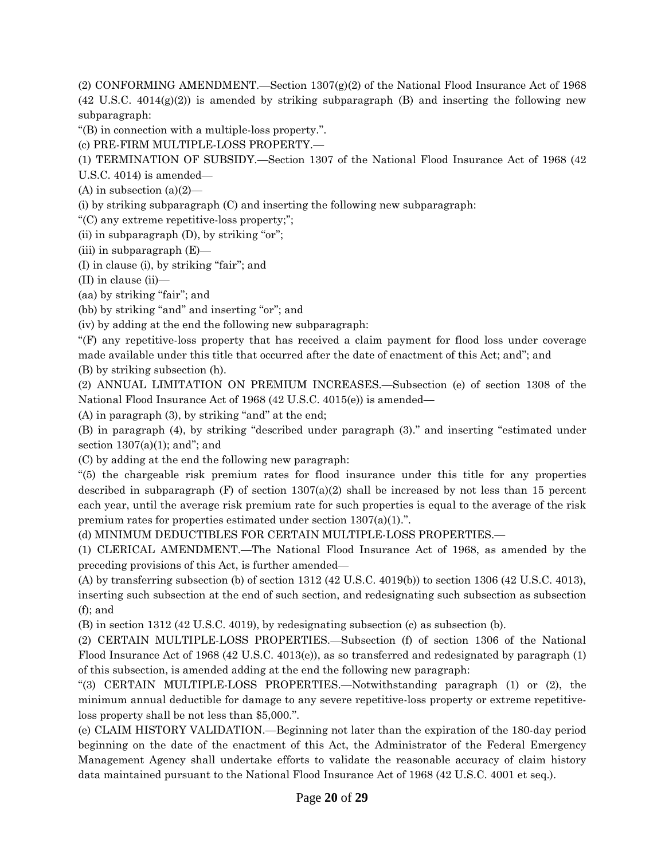(2) CONFORMING AMENDMENT.—Section 1307(g)(2) of the National Flood Insurance Act of 1968  $(42 \text{ U.S.C. } 4014(g)(2))$  is amended by striking subparagraph (B) and inserting the following new subparagraph:

''(B) in connection with a multiple-loss property.''.

(c) PRE-FIRM MULTIPLE-LOSS PROPERTY.—

(1) TERMINATION OF SUBSIDY.—Section 1307 of the National Flood Insurance Act of 1968 (42

U.S.C. 4014) is amended—

(A) in subsection  $(a)(2)$ —

(i) by striking subparagraph (C) and inserting the following new subparagraph:

''(C) any extreme repetitive-loss property;'';

(ii) in subparagraph  $(D)$ , by striking "or";

(iii) in subparagraph (E)—

(I) in clause (i), by striking ''fair''; and

(II) in clause (ii)—

(aa) by striking "fair"; and

(bb) by striking "and" and inserting "or"; and

(iv) by adding at the end the following new subparagraph:

''(F) any repetitive-loss property that has received a claim payment for flood loss under coverage made available under this title that occurred after the date of enactment of this Act; and''; and (B) by striking subsection (h).

(2) ANNUAL LIMITATION ON PREMIUM INCREASES.—Subsection (e) of section 1308 of the National Flood Insurance Act of 1968 (42 U.S.C. 4015(e)) is amended—

 $(A)$  in paragraph  $(3)$ , by striking "and" at the end;

(B) in paragraph (4), by striking ''described under paragraph (3).'' and inserting ''estimated under section  $1307(a)(1)$ ; and"; and

(C) by adding at the end the following new paragraph:

''(5) the chargeable risk premium rates for flood insurance under this title for any properties described in subparagraph  $(F)$  of section  $1307(a)(2)$  shall be increased by not less than 15 percent each year, until the average risk premium rate for such properties is equal to the average of the risk premium rates for properties estimated under section 1307(a)(1).''.

(d) MINIMUM DEDUCTIBLES FOR CERTAIN MULTIPLE-LOSS PROPERTIES.—

(1) CLERICAL AMENDMENT.—The National Flood Insurance Act of 1968, as amended by the preceding provisions of this Act, is further amended—

(A) by transferring subsection (b) of section 1312 (42 U.S.C. 4019(b)) to section 1306 (42 U.S.C. 4013), inserting such subsection at the end of such section, and redesignating such subsection as subsection (f); and

(B) in section 1312 (42 U.S.C. 4019), by redesignating subsection (c) as subsection (b).

(2) CERTAIN MULTIPLE-LOSS PROPERTIES.—Subsection (f) of section 1306 of the National Flood Insurance Act of 1968 (42 U.S.C. 4013(e)), as so transferred and redesignated by paragraph (1) of this subsection, is amended adding at the end the following new paragraph:

''(3) CERTAIN MULTIPLE-LOSS PROPERTIES.—Notwithstanding paragraph (1) or (2), the minimum annual deductible for damage to any severe repetitive-loss property or extreme repetitiveloss property shall be not less than \$5,000.''.

(e) CLAIM HISTORY VALIDATION.—Beginning not later than the expiration of the 180-day period beginning on the date of the enactment of this Act, the Administrator of the Federal Emergency Management Agency shall undertake efforts to validate the reasonable accuracy of claim history data maintained pursuant to the National Flood Insurance Act of 1968 (42 U.S.C. 4001 et seq.).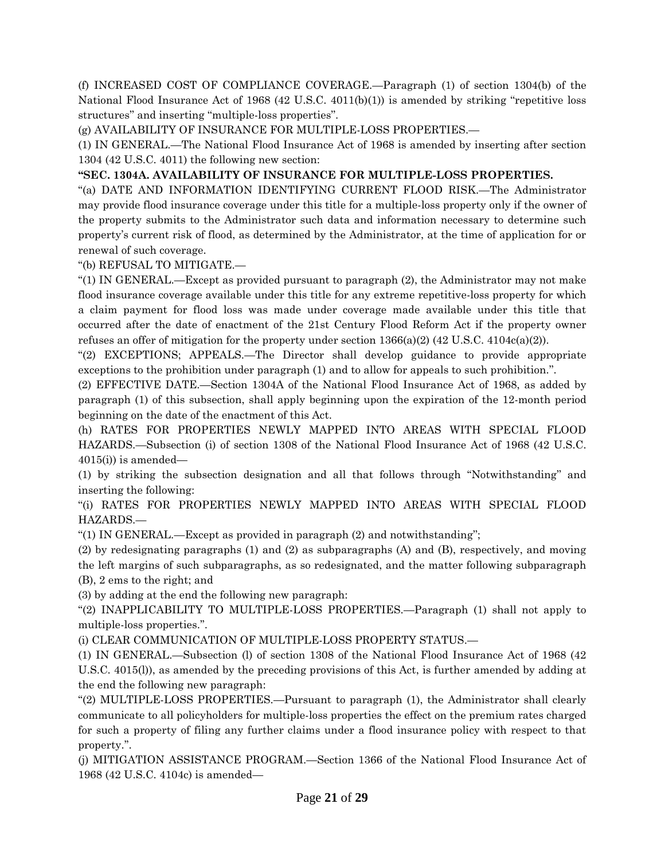(f) INCREASED COST OF COMPLIANCE COVERAGE.—Paragraph (1) of section 1304(b) of the National Flood Insurance Act of 1968 (42 U.S.C. 4011(b)(1)) is amended by striking "repetitive loss structures'' and inserting ''multiple-loss properties''.

(g) AVAILABILITY OF INSURANCE FOR MULTIPLE-LOSS PROPERTIES.—

(1) IN GENERAL.—The National Flood Insurance Act of 1968 is amended by inserting after section 1304 (42 U.S.C. 4011) the following new section:

**''SEC. 1304A. AVAILABILITY OF INSURANCE FOR MULTIPLE-LOSS PROPERTIES.**

''(a) DATE AND INFORMATION IDENTIFYING CURRENT FLOOD RISK.—The Administrator may provide flood insurance coverage under this title for a multiple-loss property only if the owner of the property submits to the Administrator such data and information necessary to determine such property's current risk of flood, as determined by the Administrator, at the time of application for or renewal of such coverage.

''(b) REFUSAL TO MITIGATE.—

''(1) IN GENERAL.—Except as provided pursuant to paragraph (2), the Administrator may not make flood insurance coverage available under this title for any extreme repetitive-loss property for which a claim payment for flood loss was made under coverage made available under this title that occurred after the date of enactment of the 21st Century Flood Reform Act if the property owner refuses an offer of mitigation for the property under section  $1366(a)(2)$  (42 U.S.C. 4104c(a)(2)).

''(2) EXCEPTIONS; APPEALS.—The Director shall develop guidance to provide appropriate exceptions to the prohibition under paragraph (1) and to allow for appeals to such prohibition.''.

(2) EFFECTIVE DATE.—Section 1304A of the National Flood Insurance Act of 1968, as added by paragraph (1) of this subsection, shall apply beginning upon the expiration of the 12-month period beginning on the date of the enactment of this Act.

(h) RATES FOR PROPERTIES NEWLY MAPPED INTO AREAS WITH SPECIAL FLOOD HAZARDS.—Subsection (i) of section 1308 of the National Flood Insurance Act of 1968 (42 U.S.C.  $4015(i)$ ) is amended—

(1) by striking the subsection designation and all that follows through ''Notwithstanding'' and inserting the following:

''(i) RATES FOR PROPERTIES NEWLY MAPPED INTO AREAS WITH SPECIAL FLOOD HAZARDS.—

''(1) IN GENERAL.—Except as provided in paragraph (2) and notwithstanding'';

(2) by redesignating paragraphs (1) and (2) as subparagraphs (A) and (B), respectively, and moving the left margins of such subparagraphs, as so redesignated, and the matter following subparagraph (B), 2 ems to the right; and

(3) by adding at the end the following new paragraph:

''(2) INAPPLICABILITY TO MULTIPLE-LOSS PROPERTIES.—Paragraph (1) shall not apply to multiple-loss properties.''.

(i) CLEAR COMMUNICATION OF MULTIPLE-LOSS PROPERTY STATUS.—

(1) IN GENERAL.—Subsection (l) of section 1308 of the National Flood Insurance Act of 1968 (42 U.S.C. 4015(l)), as amended by the preceding provisions of this Act, is further amended by adding at the end the following new paragraph:

"(2) MULTIPLE-LOSS PROPERTIES.—Pursuant to paragraph (1), the Administrator shall clearly communicate to all policyholders for multiple-loss properties the effect on the premium rates charged for such a property of filing any further claims under a flood insurance policy with respect to that property.''.

(j) MITIGATION ASSISTANCE PROGRAM.—Section 1366 of the National Flood Insurance Act of 1968 (42 U.S.C. 4104c) is amended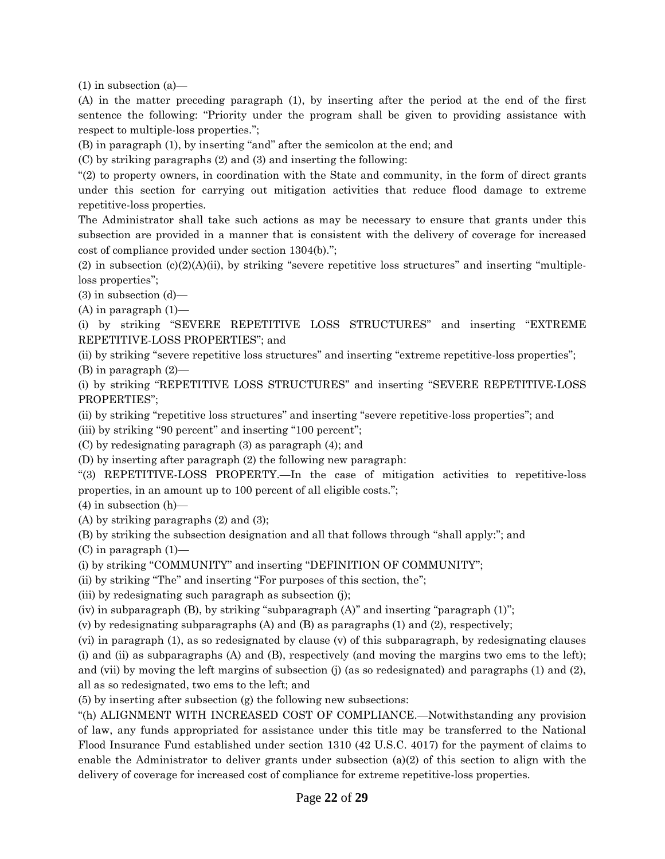(1) in subsection (a)—

(A) in the matter preceding paragraph (1), by inserting after the period at the end of the first sentence the following: "Priority under the program shall be given to providing assistance with respect to multiple-loss properties.'';

(B) in paragraph (1), by inserting ''and'' after the semicolon at the end; and

(C) by striking paragraphs (2) and (3) and inserting the following:

''(2) to property owners, in coordination with the State and community, in the form of direct grants under this section for carrying out mitigation activities that reduce flood damage to extreme repetitive-loss properties.

The Administrator shall take such actions as may be necessary to ensure that grants under this subsection are provided in a manner that is consistent with the delivery of coverage for increased cost of compliance provided under section 1304(b).'';

(2) in subsection  $(c)(2)(A)(ii)$ , by striking "severe repetitive loss structures" and inserting "multipleloss properties'';

(3) in subsection (d)—

 $(A)$  in paragraph  $(1)$ —

(i) by striking ''SEVERE REPETITIVE LOSS STRUCTURES'' and inserting ''EXTREME REPETITIVE-LOSS PROPERTIES''; and

(ii) by striking "severe repetitive loss structures" and inserting "extreme repetitive-loss properties"; (B) in paragraph (2)—

(i) by striking ''REPETITIVE LOSS STRUCTURES'' and inserting ''SEVERE REPETITIVE-LOSS PROPERTIES'';

(ii) by striking ''repetitive loss structures'' and inserting ''severe repetitive-loss properties''; and

(iii) by striking "90 percent" and inserting "100 percent";

(C) by redesignating paragraph (3) as paragraph (4); and

(D) by inserting after paragraph (2) the following new paragraph:

''(3) REPETITIVE-LOSS PROPERTY.—In the case of mitigation activities to repetitive-loss properties, in an amount up to 100 percent of all eligible costs.'';

(4) in subsection (h)—

(A) by striking paragraphs (2) and (3);

(B) by striking the subsection designation and all that follows through ''shall apply:''; and

(C) in paragraph (1)—

(i) by striking "COMMUNITY" and inserting "DEFINITION OF COMMUNITY";

(ii) by striking "The" and inserting "For purposes of this section, the";

(iii) by redesignating such paragraph as subsection (j);

(iv) in subparagraph (B), by striking ''subparagraph (A)'' and inserting ''paragraph (1)'';

(v) by redesignating subparagraphs (A) and (B) as paragraphs (1) and (2), respectively;

(vi) in paragraph (1), as so redesignated by clause (v) of this subparagraph, by redesignating clauses (i) and (ii) as subparagraphs (A) and (B), respectively (and moving the margins two ems to the left); and (vii) by moving the left margins of subsection (j) (as so redesignated) and paragraphs (1) and (2), all as so redesignated, two ems to the left; and

(5) by inserting after subsection (g) the following new subsections:

''(h) ALIGNMENT WITH INCREASED COST OF COMPLIANCE.—Notwithstanding any provision of law, any funds appropriated for assistance under this title may be transferred to the National Flood Insurance Fund established under section 1310 (42 U.S.C. 4017) for the payment of claims to enable the Administrator to deliver grants under subsection (a)(2) of this section to align with the delivery of coverage for increased cost of compliance for extreme repetitive-loss properties.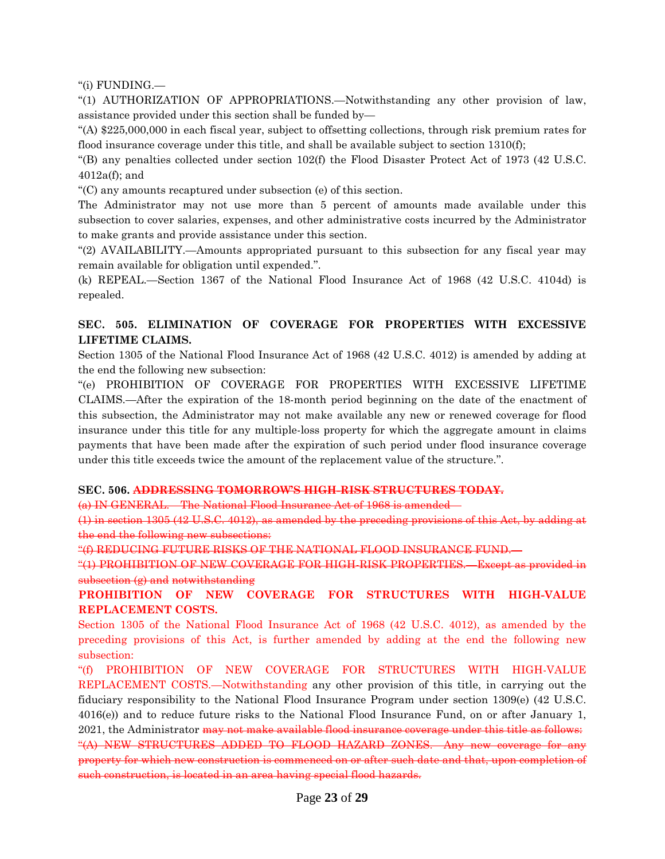''(i) FUNDING.—

''(1) AUTHORIZATION OF APPROPRIATIONS.—Notwithstanding any other provision of law, assistance provided under this section shall be funded by—

''(A) \$225,000,000 in each fiscal year, subject to offsetting collections, through risk premium rates for flood insurance coverage under this title, and shall be available subject to section 1310(f);

 $(16)$  any penalties collected under section 102(f) the Flood Disaster Protect Act of 1973 (42 U.S.C. 4012a(f); and

''(C) any amounts recaptured under subsection (e) of this section.

The Administrator may not use more than 5 percent of amounts made available under this subsection to cover salaries, expenses, and other administrative costs incurred by the Administrator to make grants and provide assistance under this section.

''(2) AVAILABILITY.—Amounts appropriated pursuant to this subsection for any fiscal year may remain available for obligation until expended.''.

(k) REPEAL.—Section 1367 of the National Flood Insurance Act of 1968 (42 U.S.C. 4104d) is repealed.

# **SEC. 505. ELIMINATION OF COVERAGE FOR PROPERTIES WITH EXCESSIVE LIFETIME CLAIMS.**

Section 1305 of the National Flood Insurance Act of 1968 (42 U.S.C. 4012) is amended by adding at the end the following new subsection:

''(e) PROHIBITION OF COVERAGE FOR PROPERTIES WITH EXCESSIVE LIFETIME CLAIMS.—After the expiration of the 18-month period beginning on the date of the enactment of this subsection, the Administrator may not make available any new or renewed coverage for flood insurance under this title for any multiple-loss property for which the aggregate amount in claims payments that have been made after the expiration of such period under flood insurance coverage under this title exceeds twice the amount of the replacement value of the structure.''.

#### **SEC. 506. ADDRESSING TOMORROW'S HIGH-RISK STRUCTURES TODAY.**

(a) IN GENERAL.—The National Flood Insurance Act of 1968 is amended—

(1) in section 1305 (42 U.S.C. 4012), as amended by the preceding provisions of this Act, by adding at the end the following new subsections:

''(f) REDUCING FUTURE RISKS OF THE NATIONAL FLOOD INSURANCE FUND.—

''(1) PROHIBITION OF NEW COVERAGE FOR HIGH-RISK PROPERTIES.—Except as provided in  $subsection (g)$  and notwithstanding

**PROHIBITION OF NEW COVERAGE FOR STRUCTURES WITH HIGH-VALUE REPLACEMENT COSTS.**

Section 1305 of the National Flood Insurance Act of 1968 (42 U.S.C. 4012), as amended by the preceding provisions of this Act, is further amended by adding at the end the following new subsection:

"(f) PROHIBITION OF NEW COVERAGE FOR STRUCTURES WITH HIGH-VALUE REPLACEMENT COSTS.—Notwithstanding any other provision of this title, in carrying out the fiduciary responsibility to the National Flood Insurance Program under section 1309(e) (42 U.S.C. 4016(e)) and to reduce future risks to the National Flood Insurance Fund, on or after January 1, 2021, the Administrator may not make available flood insurance coverage under this title as follows: ''(A) NEW STRUCTURES ADDED TO FLOOD HAZARD ZONES.—Any new coverage for any property for which new construction is commenced on or after such date and that, upon completion of such construction, is located in an area having special flood hazards.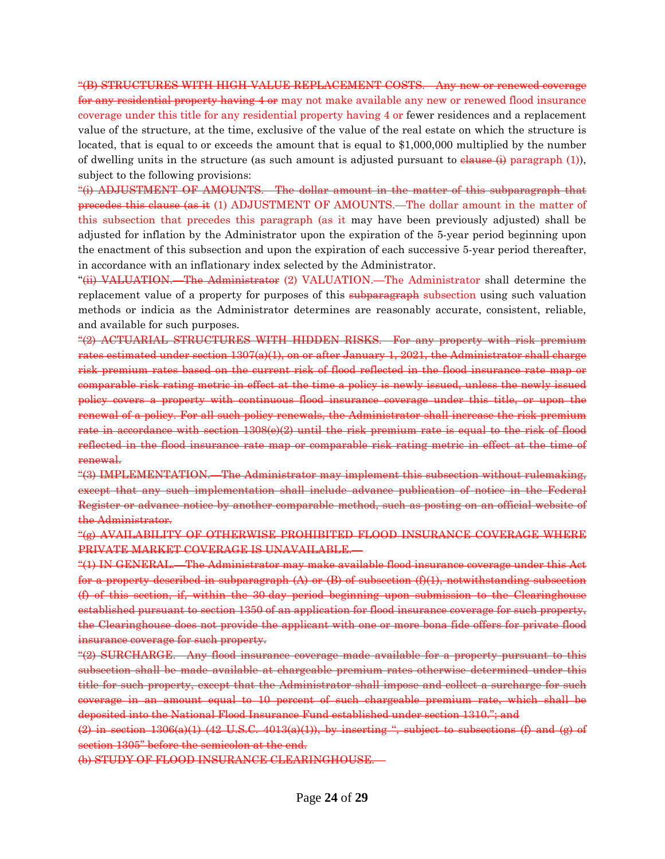''(B) STRUCTURES WITH HIGH-VALUE REPLACEMENT COSTS.—Any new or renewed coverage for any residential property having 4 or may not make available any new or renewed flood insurance coverage under this title for any residential property having 4 or fewer residences and a replacement value of the structure, at the time, exclusive of the value of the real estate on which the structure is located, that is equal to or exceeds the amount that is equal to \$1,000,000 multiplied by the number of dwelling units in the structure (as such amount is adjusted pursuant to  $\theta$  and  $\theta$ ) paragraph (1)), subject to the following provisions:

''(i) ADJUSTMENT OF AMOUNTS.—The dollar amount in the matter of this subparagraph that precedes this clause (as it (1) ADJUSTMENT OF AMOUNTS.—The dollar amount in the matter of this subsection that precedes this paragraph (as it may have been previously adjusted) shall be adjusted for inflation by the Administrator upon the expiration of the 5-year period beginning upon the enactment of this subsection and upon the expiration of each successive 5-year period thereafter, in accordance with an inflationary index selected by the Administrator.

''(ii) VALUATION.—The Administrator (2) VALUATION.—The Administrator shall determine the replacement value of a property for purposes of this subparagraph subsection using such valuation methods or indicia as the Administrator determines are reasonably accurate, consistent, reliable, and available for such purposes.

''(2) ACTUARIAL STRUCTURES WITH HIDDEN RISKS.—For any property with risk premium rates estimated under section 1307(a)(1), on or after January 1, 2021, the Administrator shall charge risk premium rates based on the current risk of flood reflected in the flood insurance rate map or comparable risk rating metric in effect at the time a policy is newly issued, unless the newly issued policy covers a property with continuous flood insurance coverage under this title, or upon the renewal of a policy. For all such policy renewals, the Administrator shall increase the risk premium rate in accordance with section 1308(e)(2) until the risk premium rate is equal to the risk of flood reflected in the flood insurance rate map or comparable risk rating metric in effect at the time of renewal.

''(3) IMPLEMENTATION.—The Administrator may implement this subsection without rulemaking, except that any such implementation shall include advance publication of notice in the Federal Register or advance notice by another comparable method, such as posting on an official website of the Administrator.

#### ''(g) AVAILABILITY OF OTHERWISE PROHIBITED FLOOD INSURANCE COVERAGE WHERE PRIVATE MARKET COVERAGE IS UNAVAILABLE.—

''(1) IN GENERAL.—The Administrator may make available flood insurance coverage under this Act for a property described in subparagraph (A) or (B) of subsection (f)(1), notwithstanding subsection (f) of this section, if, within the 30-day period beginning upon submission to the Clearinghouse established pursuant to section 1350 of an application for flood insurance coverage for such property, the Clearinghouse does not provide the applicant with one or more bona fide offers for private flood insurance coverage for such property.

"(2) SURCHARGE. Any flood insurance coverage made available for a property pursuant to this subsection shall be made available at chargeable premium rates otherwise determined under this title for such property, except that the Administrator shall impose and collect a surcharge for such coverage in an amount equal to 10 percent of such chargeable premium rate, which shall be deposited into the National Flood Insurance Fund established under section 1310.''; and

 $(2)$  in section 1306(a)(1) (42 U.S.C. 4013(a)(1)), by inserting ", subject to subsections (f) and (g) of section 1305" before the semicolon at the end.

(b) STUDY OF FLOOD INSURANCE CLEARINGHOUSE.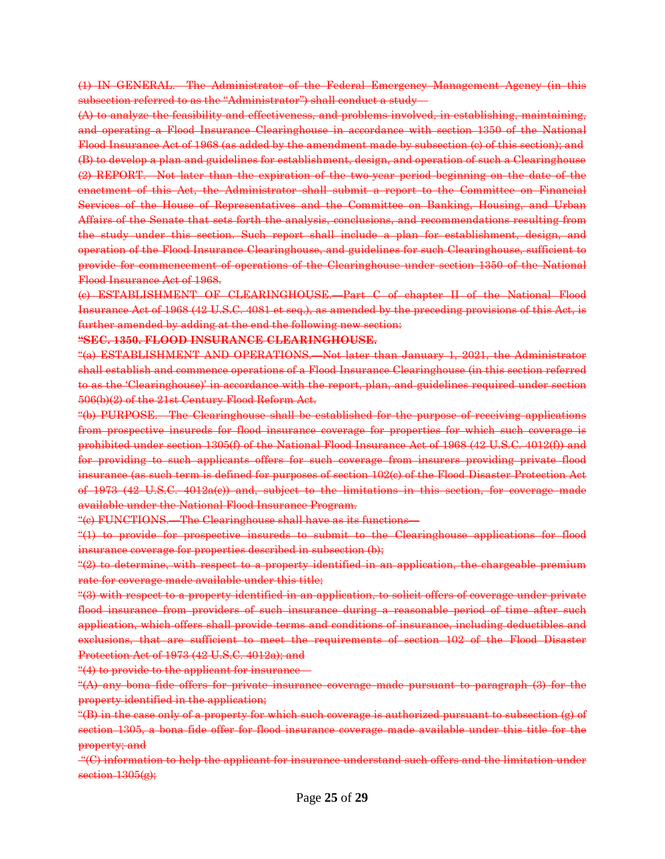(1) IN GENERAL.—The Administrator of the Federal Emergency Management Agency (in this subsection referred to as the ''Administrator'') shall conduct a study—

(A) to analyze the feasibility and effectiveness, and problems involved, in establishing, maintaining, and operating a Flood Insurance Clearinghouse in accordance with section 1350 of the National Flood Insurance Act of 1968 (as added by the amendment made by subsection (c) of this section); and (B) to develop a plan and guidelines for establishment, design, and operation of such a Clearinghouse (2) REPORT.—Not later than the expiration of the two-year period beginning on the date of the enactment of this Act, the Administrator shall submit a report to the Committee on Financial Services of the House of Representatives and the Committee on Banking, Housing, and Urban Affairs of the Senate that sets forth the analysis, conclusions, and recommendations resulting from the study under this section. Such report shall include a plan for establishment, design, and operation of the Flood Insurance Clearinghouse, and guidelines for such Clearinghouse, sufficient to provide for commencement of operations of the Clearinghouse under section 1350 of the National Flood Insurance Act of 1968.

(c) ESTABLISHMENT OF CLEARINGHOUSE.—Part C of chapter II of the National Flood Insurance Act of 1968 (42 U.S.C. 4081 et seq.), as amended by the preceding provisions of this Act, is further amended by adding at the end the following new section:

**''SEC. 1350. FLOOD INSURANCE CLEARINGHOUSE.**

''(a) ESTABLISHMENT AND OPERATIONS.—Not later than January 1, 2021, the Administrator shall establish and commence operations of a Flood Insurance Clearinghouse (in this section referred to as the 'Clearinghouse)' in accordance with the report, plan, and guidelines required under section 506(b)(2) of the 21st Century Flood Reform Act.

''(b) PURPOSE.—The Clearinghouse shall be established for the purpose of receiving applications from prospective insureds for flood insurance coverage for properties for which such coverage is prohibited under section 1305(f) of the National Flood Insurance Act of 1968 (42 U.S.C. 4012(f)) and for providing to such applicants offers for such coverage from insurers providing private flood insurance (as such term is defined for purposes of section 102(c) of the Flood Disaster Protection Act of 1973 (42 U.S.C. 4012a(c)) and, subject to the limitations in this section, for coverage made available under the National Flood Insurance Program.

''(c) FUNCTIONS.—The Clearinghouse shall have as its functions—

''(1) to provide for prospective insureds to submit to the Clearinghouse applications for flood insurance coverage for properties described in subsection (b);

"(2) to determine, with respect to a property identified in an application, the chargeable premium rate for coverage made available under this title;

''(3) with respect to a property identified in an application, to solicit offers of coverage under private flood insurance from providers of such insurance during a reasonable period of time after such application, which offers shall provide terms and conditions of insurance, including deductibles and exclusions, that are sufficient to meet the requirements of section 102 of the Flood Disaster Protection Act of 1973 (42 U.S.C. 4012a); and

"(4) to provide to the applicant for insurance—

''(A) any bona fide offers for private insurance coverage made pursuant to paragraph (3) for the property identified in the application;

''(B) in the case only of a property for which such coverage is authorized pursuant to subsection (g) of section 1305, a bona fide offer for flood insurance coverage made available under this title for the property; and

''(C) information to help the applicant for insurance understand such offers and the limitation under section  $1305(g)$ ;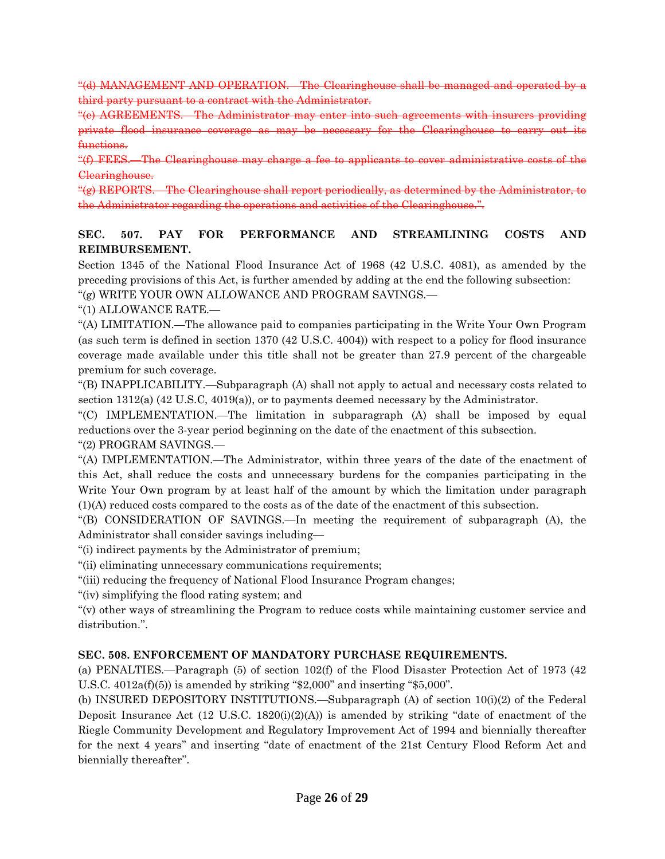''(d) MANAGEMENT AND OPERATION.—The Clearinghouse shall be managed and operated by a third party pursuant to a contract with the Administrator.

"(e) AGREEMENTS. The Administrator may enter into such agreement private flood insurance coverage as may be necessary for the Clearinghouse to carry functions.

"(f) FEES. The Clearinghouse may charge a fee to applicants to cover administrative Clearinghouse.

"(g) REPORTS. The Clearinghouse shall report periodically, as determined by the the Administrator regarding the operations and activities of the Clearinghouse.''.

## **SEC. 507. PAY FOR PERFORMANCE AND STREAMLINING COSTS AND REIMBURSEMENT.**

Section 1345 of the National Flood Insurance Act of 1968 (42 U.S.C. 4081), as amended by the preceding provisions of this Act, is further amended by adding at the end the following subsection:

''(g) WRITE YOUR OWN ALLOWANCE AND PROGRAM SAVINGS.—

''(1) ALLOWANCE RATE.—

''(A) LIMITATION.—The allowance paid to companies participating in the Write Your Own Program (as such term is defined in section 1370 (42 U.S.C. 4004)) with respect to a policy for flood insurance coverage made available under this title shall not be greater than 27.9 percent of the chargeable premium for such coverage.

''(B) INAPPLICABILITY.—Subparagraph (A) shall not apply to actual and necessary costs related to section 1312(a) (42 U.S.C, 4019(a)), or to payments deemed necessary by the Administrator.

''(C) IMPLEMENTATION.—The limitation in subparagraph (A) shall be imposed by equal reductions over the 3-year period beginning on the date of the enactment of this subsection. ''(2) PROGRAM SAVINGS.—

''(A) IMPLEMENTATION.—The Administrator, within three years of the date of the enactment of this Act, shall reduce the costs and unnecessary burdens for the companies participating in the Write Your Own program by at least half of the amount by which the limitation under paragraph (1)(A) reduced costs compared to the costs as of the date of the enactment of this subsection.

''(B) CONSIDERATION OF SAVINGS.—In meeting the requirement of subparagraph (A), the Administrator shall consider savings including—

''(i) indirect payments by the Administrator of premium;

"(ii) eliminating unnecessary communications requirements;

''(iii) reducing the frequency of National Flood Insurance Program changes;

''(iv) simplifying the flood rating system; and

''(v) other ways of streamlining the Program to reduce costs while maintaining customer service and distribution.''.

#### **SEC. 508. ENFORCEMENT OF MANDATORY PURCHASE REQUIREMENTS.**

(a) PENALTIES.—Paragraph (5) of section 102(f) of the Flood Disaster Protection Act of 1973 (42 U.S.C.  $4012a(f)(5)$ ) is amended by striking "\$2,000" and inserting "\$5,000".

(b) INSURED DEPOSITORY INSTITUTIONS.—Subparagraph (A) of section 10(i)(2) of the Federal Deposit Insurance Act  $(12 \text{ U.S.C. } 1820(i)(2)(A))$  is amended by striking "date of enactment of the Riegle Community Development and Regulatory Improvement Act of 1994 and biennially thereafter for the next 4 years'' and inserting ''date of enactment of the 21st Century Flood Reform Act and biennially thereafter''.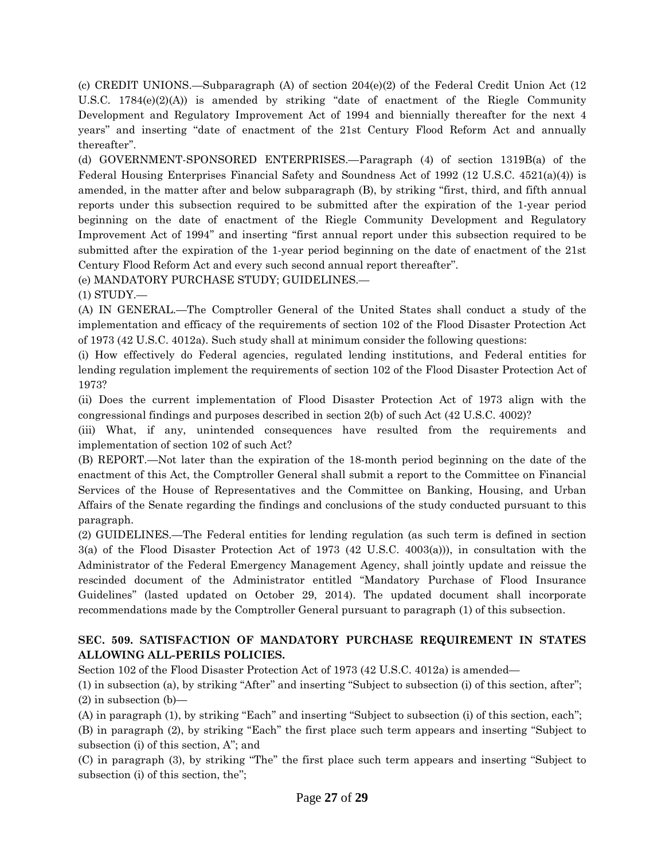(c) CREDIT UNIONS.—Subparagraph (A) of section 204(e)(2) of the Federal Credit Union Act (12 U.S.C. 1784 $(e)(2)(A)$  is amended by striking "date of enactment of the Riegle Community Development and Regulatory Improvement Act of 1994 and biennially thereafter for the next 4 years'' and inserting ''date of enactment of the 21st Century Flood Reform Act and annually thereafter''.

(d) GOVERNMENT-SPONSORED ENTERPRISES.—Paragraph (4) of section 1319B(a) of the Federal Housing Enterprises Financial Safety and Soundness Act of 1992 (12 U.S.C. 4521(a)(4)) is amended, in the matter after and below subparagraph (B), by striking "first, third, and fifth annual reports under this subsection required to be submitted after the expiration of the 1-year period beginning on the date of enactment of the Riegle Community Development and Regulatory Improvement Act of 1994'' and inserting ''first annual report under this subsection required to be submitted after the expiration of the 1-year period beginning on the date of enactment of the 21st Century Flood Reform Act and every such second annual report thereafter''.

(e) MANDATORY PURCHASE STUDY; GUIDELINES.—

(1) STUDY.—

(A) IN GENERAL.—The Comptroller General of the United States shall conduct a study of the implementation and efficacy of the requirements of section 102 of the Flood Disaster Protection Act of 1973 (42 U.S.C. 4012a). Such study shall at minimum consider the following questions:

(i) How effectively do Federal agencies, regulated lending institutions, and Federal entities for lending regulation implement the requirements of section 102 of the Flood Disaster Protection Act of 1973?

(ii) Does the current implementation of Flood Disaster Protection Act of 1973 align with the congressional findings and purposes described in section 2(b) of such Act (42 U.S.C. 4002)?

(iii) What, if any, unintended consequences have resulted from the requirements and implementation of section 102 of such Act?

(B) REPORT.—Not later than the expiration of the 18-month period beginning on the date of the enactment of this Act, the Comptroller General shall submit a report to the Committee on Financial Services of the House of Representatives and the Committee on Banking, Housing, and Urban Affairs of the Senate regarding the findings and conclusions of the study conducted pursuant to this paragraph.

(2) GUIDELINES.—The Federal entities for lending regulation (as such term is defined in section 3(a) of the Flood Disaster Protection Act of 1973 (42 U.S.C. 4003(a))), in consultation with the Administrator of the Federal Emergency Management Agency, shall jointly update and reissue the rescinded document of the Administrator entitled ''Mandatory Purchase of Flood Insurance Guidelines'' (lasted updated on October 29, 2014). The updated document shall incorporate recommendations made by the Comptroller General pursuant to paragraph (1) of this subsection.

## **SEC. 509. SATISFACTION OF MANDATORY PURCHASE REQUIREMENT IN STATES ALLOWING ALL-PERILS POLICIES.**

Section 102 of the Flood Disaster Protection Act of 1973 (42 U.S.C. 4012a) is amended—

(1) in subsection (a), by striking ''After'' and inserting ''Subject to subsection (i) of this section, after''; (2) in subsection (b)—

(A) in paragraph (1), by striking ''Each'' and inserting ''Subject to subsection (i) of this section, each'';

(B) in paragraph (2), by striking ''Each'' the first place such term appears and inserting ''Subject to subsection (i) of this section, A''; and

(C) in paragraph (3), by striking ''The'' the first place such term appears and inserting ''Subject to subsection (i) of this section, the'';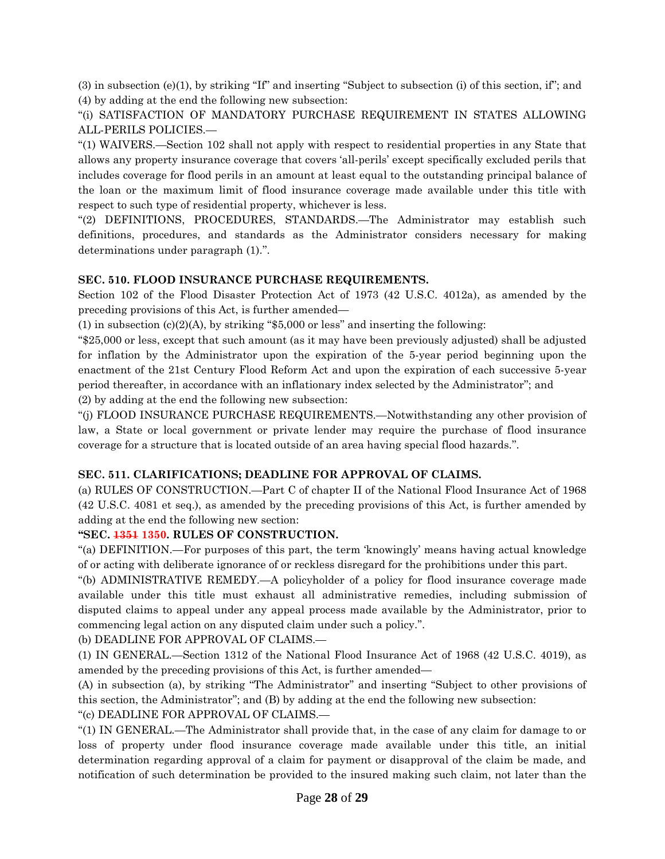(3) in subsection (e)(1), by striking "If" and inserting "Subject to subsection (i) of this section, if"; and (4) by adding at the end the following new subsection:

''(i) SATISFACTION OF MANDATORY PURCHASE REQUIREMENT IN STATES ALLOWING ALL-PERILS POLICIES.—

''(1) WAIVERS.—Section 102 shall not apply with respect to residential properties in any State that allows any property insurance coverage that covers 'all-perils' except specifically excluded perils that includes coverage for flood perils in an amount at least equal to the outstanding principal balance of the loan or the maximum limit of flood insurance coverage made available under this title with respect to such type of residential property, whichever is less.

''(2) DEFINITIONS, PROCEDURES, STANDARDS.—The Administrator may establish such definitions, procedures, and standards as the Administrator considers necessary for making determinations under paragraph (1).''.

## **SEC. 510. FLOOD INSURANCE PURCHASE REQUIREMENTS.**

Section 102 of the Flood Disaster Protection Act of 1973 (42 U.S.C. 4012a), as amended by the preceding provisions of this Act, is further amended—

(1) in subsection (c)(2)(A), by striking " $$5,000$  or less" and inserting the following:

''\$25,000 or less, except that such amount (as it may have been previously adjusted) shall be adjusted for inflation by the Administrator upon the expiration of the 5-year period beginning upon the enactment of the 21st Century Flood Reform Act and upon the expiration of each successive 5-year period thereafter, in accordance with an inflationary index selected by the Administrator''; and (2) by adding at the end the following new subsection:

''(j) FLOOD INSURANCE PURCHASE REQUIREMENTS.—Notwithstanding any other provision of law, a State or local government or private lender may require the purchase of flood insurance coverage for a structure that is located outside of an area having special flood hazards.''.

## **SEC. 511. CLARIFICATIONS; DEADLINE FOR APPROVAL OF CLAIMS.**

(a) RULES OF CONSTRUCTION.—Part C of chapter II of the National Flood Insurance Act of 1968 (42 U.S.C. 4081 et seq.), as amended by the preceding provisions of this Act, is further amended by adding at the end the following new section:

## **''SEC. 1351 1350. RULES OF CONSTRUCTION.**

''(a) DEFINITION.—For purposes of this part, the term 'knowingly' means having actual knowledge of or acting with deliberate ignorance of or reckless disregard for the prohibitions under this part.

''(b) ADMINISTRATIVE REMEDY.—A policyholder of a policy for flood insurance coverage made available under this title must exhaust all administrative remedies, including submission of disputed claims to appeal under any appeal process made available by the Administrator, prior to commencing legal action on any disputed claim under such a policy.''.

(b) DEADLINE FOR APPROVAL OF CLAIMS.—

(1) IN GENERAL.—Section 1312 of the National Flood Insurance Act of 1968 (42 U.S.C. 4019), as amended by the preceding provisions of this Act, is further amended—

(A) in subsection (a), by striking ''The Administrator'' and inserting ''Subject to other provisions of this section, the Administrator''; and (B) by adding at the end the following new subsection:

''(c) DEADLINE FOR APPROVAL OF CLAIMS.—

''(1) IN GENERAL.—The Administrator shall provide that, in the case of any claim for damage to or loss of property under flood insurance coverage made available under this title, an initial determination regarding approval of a claim for payment or disapproval of the claim be made, and notification of such determination be provided to the insured making such claim, not later than the